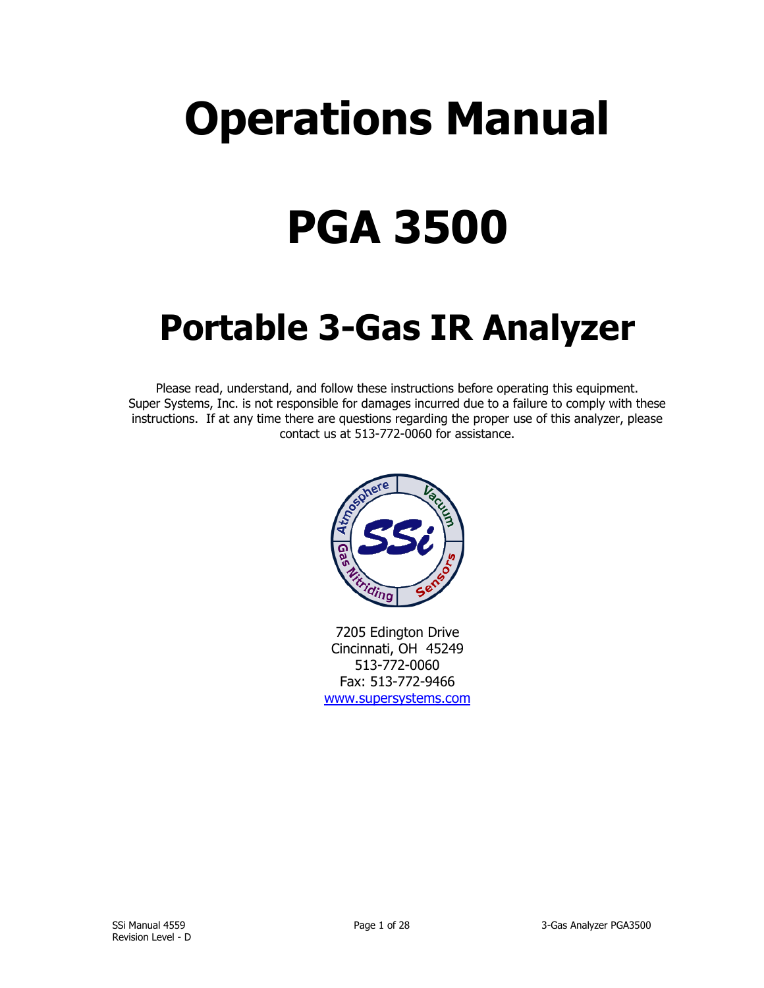# **Operations Manual**

# **PGA 3500**

## **Portable 3-Gas IR Analyzer**

Please read, understand, and follow these instructions before operating this equipment. Super Systems, Inc. is not responsible for damages incurred due to a failure to comply with these instructions. If at any time there are questions regarding the proper use of this analyzer, please contact us at 513-772-0060 for assistance.



7205 Edington Drive Cincinnati, OH 45249 513-772-0060 Fax: 513-772-9466 [www.supersystems.com](http://www.supersystems.com/)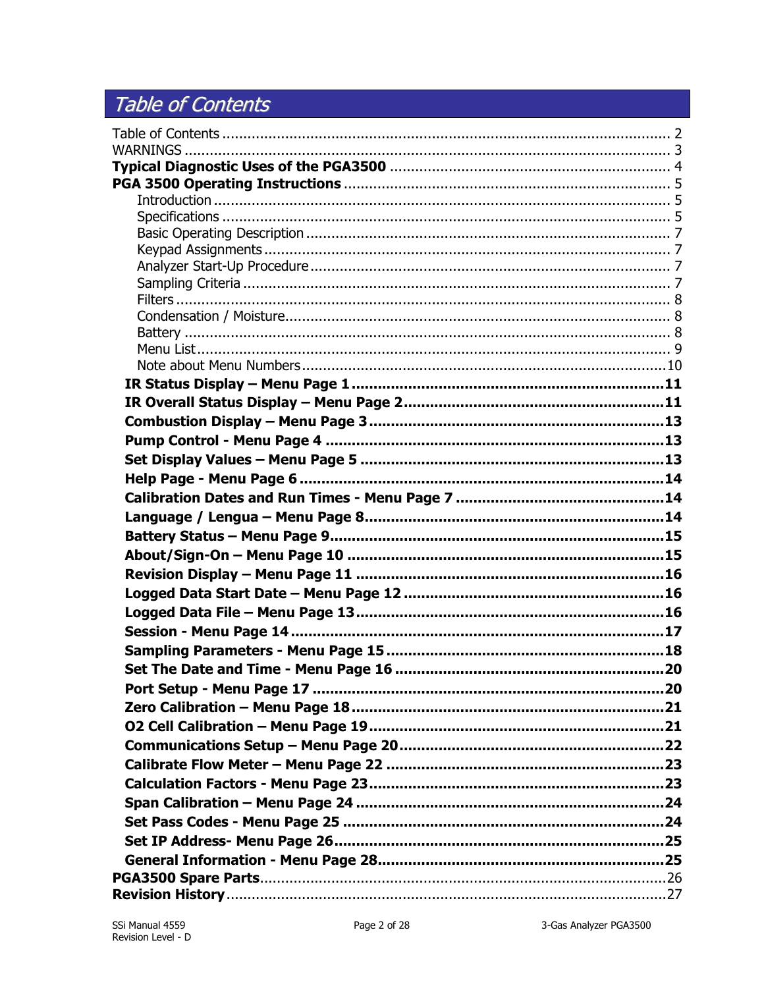## <span id="page-1-0"></span>Table of Contents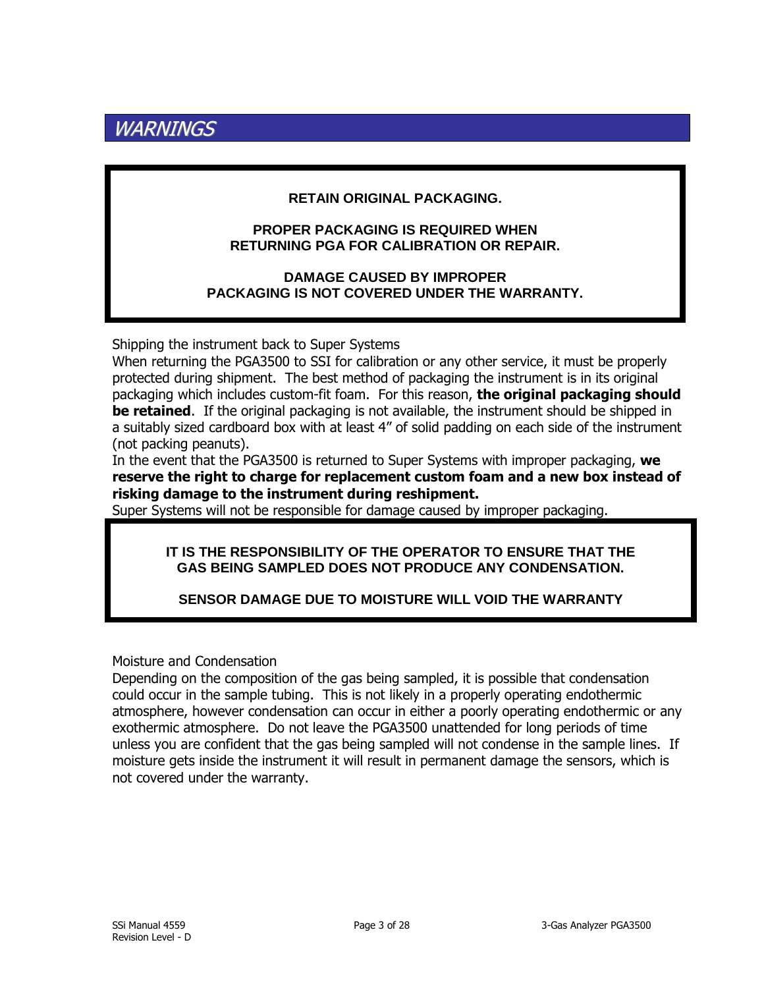## <span id="page-2-0"></span>WARNINGS

#### **RETAIN ORIGINAL PACKAGING.**

#### **PROPER PACKAGING IS REQUIRED WHEN RETURNING PGA FOR CALIBRATION OR REPAIR.**

**DAMAGE CAUSED BY IMPROPER PACKAGING IS NOT COVERED UNDER THE WARRANTY.**

Shipping the instrument back to Super Systems

When returning the PGA3500 to SSI for calibration or any other service, it must be properly protected during shipment. The best method of packaging the instrument is in its original packaging which includes custom-fit foam. For this reason, **the original packaging should be retained**. If the original packaging is not available, the instrument should be shipped in a suitably sized cardboard box with at least 4" of solid padding on each side of the instrument (not packing peanuts).

In the event that the PGA3500 is returned to Super Systems with improper packaging, **we reserve the right to charge for replacement custom foam and a new box instead of risking damage to the instrument during reshipment.**

Super Systems will not be responsible for damage caused by improper packaging.

#### **IT IS THE RESPONSIBILITY OF THE OPERATOR TO ENSURE THAT THE GAS BEING SAMPLED DOES NOT PRODUCE ANY CONDENSATION.**

## **SENSOR DAMAGE DUE TO MOISTURE WILL VOID THE WARRANTY**

Moisture and Condensation

Depending on the composition of the gas being sampled, it is possible that condensation could occur in the sample tubing. This is not likely in a properly operating endothermic atmosphere, however condensation can occur in either a poorly operating endothermic or any exothermic atmosphere. Do not leave the PGA3500 unattended for long periods of time unless you are confident that the gas being sampled will not condense in the sample lines. If moisture gets inside the instrument it will result in permanent damage the sensors, which is not covered under the warranty.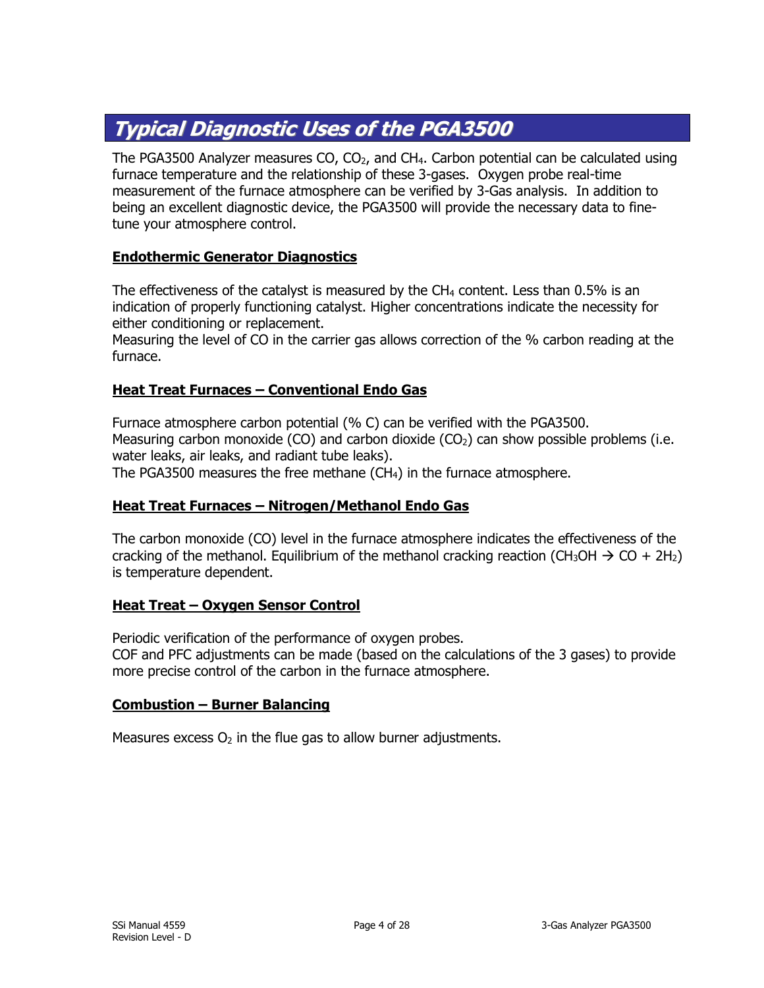## <span id="page-3-0"></span>**Typical Diagnostic Uses of the PGA3500**

The PGA3500 Analyzer measures  $CO$ ,  $CO<sub>2</sub>$ , and  $CH<sub>4</sub>$ . Carbon potential can be calculated using furnace temperature and the relationship of these 3-gases. Oxygen probe real-time measurement of the furnace atmosphere can be verified by 3-Gas analysis. In addition to being an excellent diagnostic device, the PGA3500 will provide the necessary data to finetune your atmosphere control.

#### **Endothermic Generator Diagnostics**

The effectiveness of the catalyst is measured by the  $CH<sub>4</sub>$  content. Less than 0.5% is an indication of properly functioning catalyst. Higher concentrations indicate the necessity for either conditioning or replacement.

Measuring the level of CO in the carrier gas allows correction of the % carbon reading at the furnace.

#### **Heat Treat Furnaces – Conventional Endo Gas**

Furnace atmosphere carbon potential (% C) can be verified with the PGA3500. Measuring carbon monoxide (CO) and carbon dioxide (CO<sub>2</sub>) can show possible problems (i.e. water leaks, air leaks, and radiant tube leaks).

The PGA3500 measures the free methane (CH4) in the furnace atmosphere.

#### **Heat Treat Furnaces – Nitrogen/Methanol Endo Gas**

The carbon monoxide (CO) level in the furnace atmosphere indicates the effectiveness of the cracking of the methanol. Equilibrium of the methanol cracking reaction (CH<sub>3</sub>OH  $\rightarrow$  CO + 2H<sub>2</sub>) is temperature dependent.

#### **Heat Treat – Oxygen Sensor Control**

Periodic verification of the performance of oxygen probes. COF and PFC adjustments can be made (based on the calculations of the 3 gases) to provide more precise control of the carbon in the furnace atmosphere.

#### **Combustion – Burner Balancing**

Measures excess  $O_2$  in the flue gas to allow burner adjustments.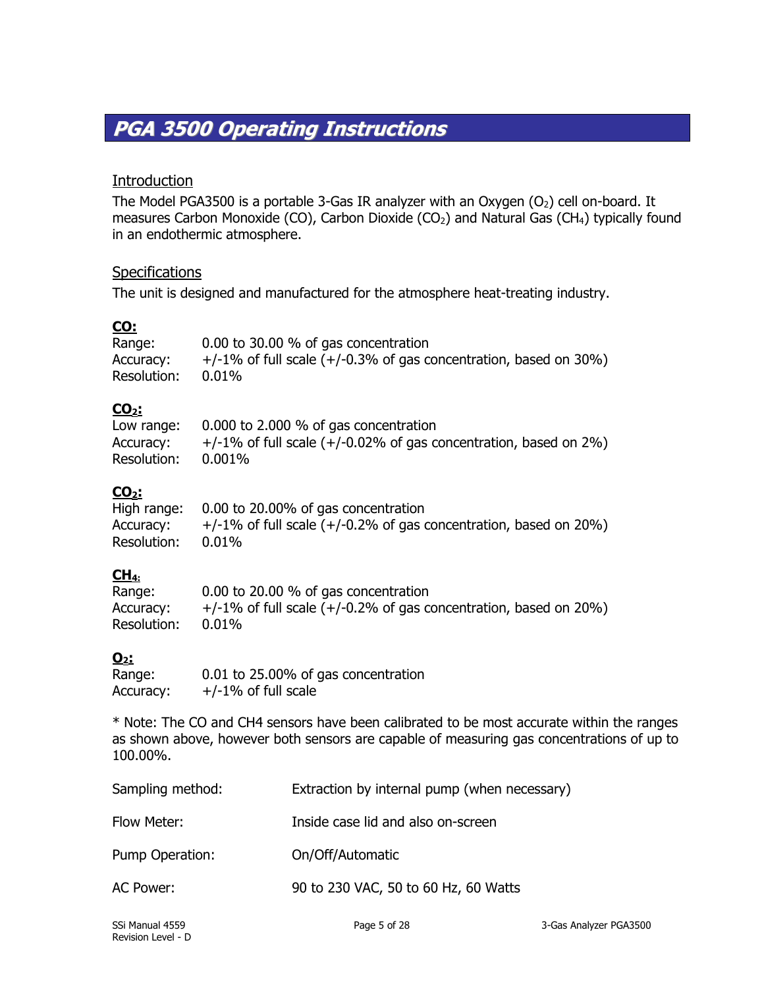## <span id="page-4-0"></span>**PGA 3500 Operating Instructions**

## <span id="page-4-1"></span>**Introduction**

The Model PGA3500 is a portable 3-Gas IR analyzer with an Oxygen  $(O<sub>2</sub>)$  cell on-board. It measures Carbon Monoxide (CO), Carbon Dioxide (CO<sub>2</sub>) and Natural Gas (CH<sub>4</sub>) typically found in an endothermic atmosphere.

## <span id="page-4-2"></span>**Specifications**

The unit is designed and manufactured for the atmosphere heat-treating industry.

## **CO:**

| Range:      | 0.00 to 30.00 % of gas concentration                                    |
|-------------|-------------------------------------------------------------------------|
| Accuracy:   | $+/-1\%$ of full scale ( $+/-0.3\%$ of gas concentration, based on 30%) |
| Resolution: | $0.01\%$                                                                |

## **CO2:**

| Low range:         | 0.000 to 2.000 $%$ of gas concentration                                 |
|--------------------|-------------------------------------------------------------------------|
| Accuracy:          | $+/-1\%$ of full scale ( $+/-0.02\%$ of gas concentration, based on 2%) |
| Resolution: 0.001% |                                                                         |

## **CO2:**

|             | High range: 0.00 to 20.00% of gas concentration                         |
|-------------|-------------------------------------------------------------------------|
| Accuracy:   | $+/-1\%$ of full scale ( $+/-0.2\%$ of gas concentration, based on 20%) |
| Resolution: | $0.01\%$                                                                |

## **CH4:**

| Range:      | 0.00 to 20.00 % of gas concentration                                    |
|-------------|-------------------------------------------------------------------------|
| Accuracy:   | $+/-1\%$ of full scale ( $+/-0.2\%$ of gas concentration, based on 20%) |
| Resolution: | 0.01%                                                                   |

## **O2:**

| Range:    | 0.01 to 25.00% of gas concentration |
|-----------|-------------------------------------|
| Accuracy: | $+/-1\%$ of full scale              |

\* Note: The CO and CH4 sensors have been calibrated to be most accurate within the ranges as shown above, however both sensors are capable of measuring gas concentrations of up to 100.00%.

| Sampling method: | Extraction by internal pump (when necessary) |
|------------------|----------------------------------------------|
| Flow Meter:      | Inside case lid and also on-screen           |
| Pump Operation:  | On/Off/Automatic                             |
| AC Power:        | 90 to 230 VAC, 50 to 60 Hz, 60 Watts         |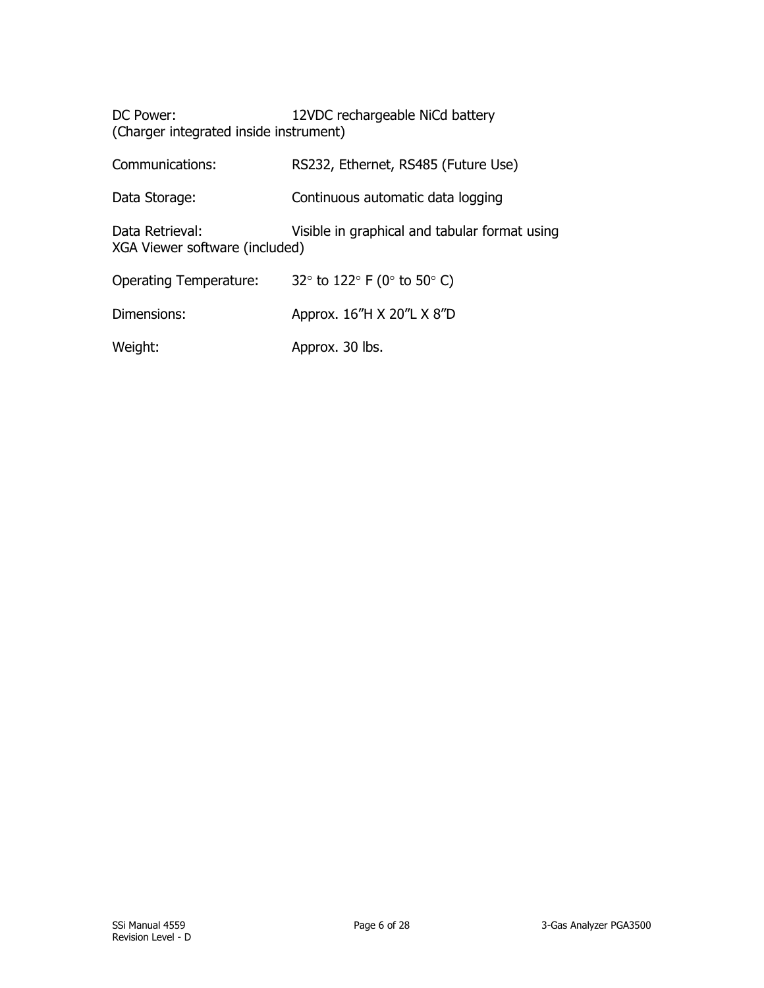| 12VDC rechargeable NiCd battery<br>DC Power:<br>(Charger integrated inside instrument) |                                               |  |  |  |
|----------------------------------------------------------------------------------------|-----------------------------------------------|--|--|--|
| Communications:                                                                        | RS232, Ethernet, RS485 (Future Use)           |  |  |  |
| Data Storage:                                                                          | Continuous automatic data logging             |  |  |  |
| Data Retrieval:<br>XGA Viewer software (included)                                      | Visible in graphical and tabular format using |  |  |  |

| <b>Operating Temperature:</b> | 32 $\degree$ to 122 $\degree$ F (0 $\degree$ to 50 $\degree$ C) |
|-------------------------------|-----------------------------------------------------------------|
| Dimensions:                   | Approx. 16"H X 20"L X 8"D                                       |
| Weight:                       | Approx. 30 lbs.                                                 |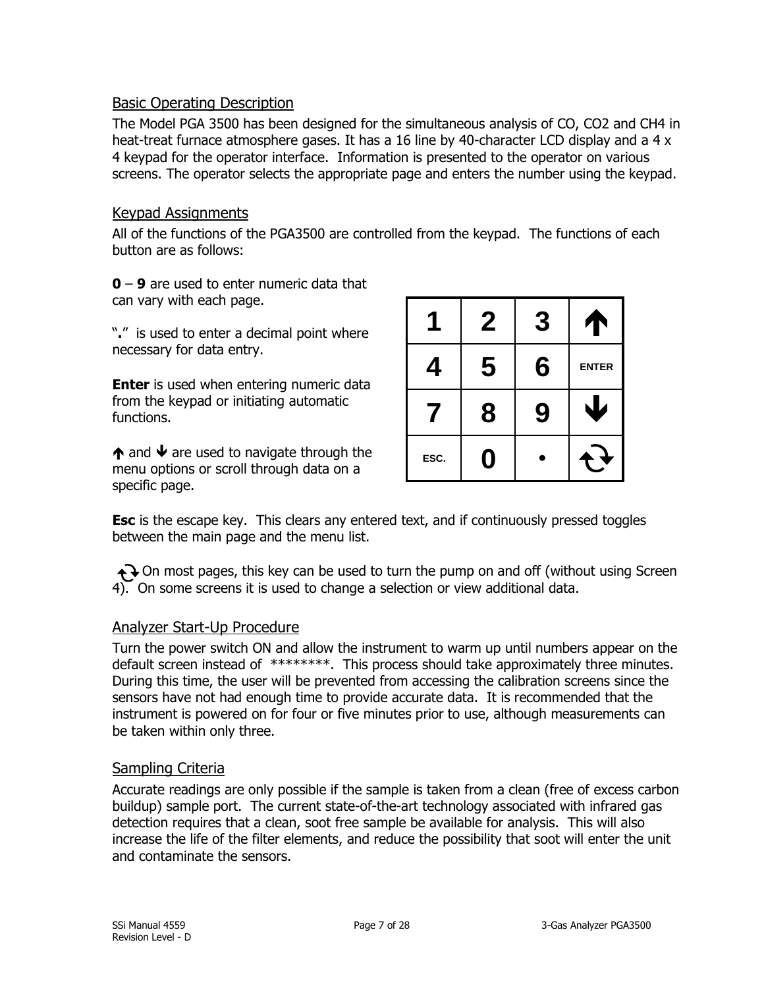#### <span id="page-6-0"></span>Basic Operating Description

The Model PGA 3500 has been designed for the simultaneous analysis of CO, CO2 and CH4 in heat-treat furnace atmosphere gases. It has a 16 line by 40-character LCD display and a 4 x 4 keypad for the operator interface. Information is presented to the operator on various screens. The operator selects the appropriate page and enters the number using the keypad.

#### <span id="page-6-1"></span>Keypad Assignments

All of the functions of the PGA3500 are controlled from the keypad. The functions of each button are as follows:

**0** – **9** are used to enter numeric data that can vary with each page.

"**.**" is used to enter a decimal point where necessary for data entry.

**Enter** is used when entering numeric data from the keypad or initiating automatic functions.

 $\bigwedge$  and  $\bigvee$  are used to navigate through the menu options or scroll through data on a specific page.

|      | $\boldsymbol{2}$ | 3                 |  |
|------|------------------|-------------------|--|
| 4    | 5                | 6<br><b>ENTER</b> |  |
|      | 8                | 9                 |  |
| ESC. | Ŋ                |                   |  |

**Esc** is the escape key. This clears any entered text, and if continuously pressed toggles between the main page and the menu list.

 $\bigodot$  On most pages, this key can be used to turn the pump on and off (without using Screen 4). On some screens it is used to change a selection or view additional data.

#### <span id="page-6-2"></span>Analyzer Start-Up Procedure

Turn the power switch ON and allow the instrument to warm up until numbers appear on the default screen instead of \*\*\*\*\*\*\*\*. This process should take approximately three minutes. During this time, the user will be prevented from accessing the calibration screens since the sensors have not had enough time to provide accurate data. It is recommended that the instrument is powered on for four or five minutes prior to use, although measurements can be taken within only three.

## <span id="page-6-3"></span>Sampling Criteria

Accurate readings are only possible if the sample is taken from a clean (free of excess carbon buildup) sample port. The current state-of-the-art technology associated with infrared gas detection requires that a clean, soot free sample be available for analysis. This will also increase the life of the filter elements, and reduce the possibility that soot will enter the unit and contaminate the sensors.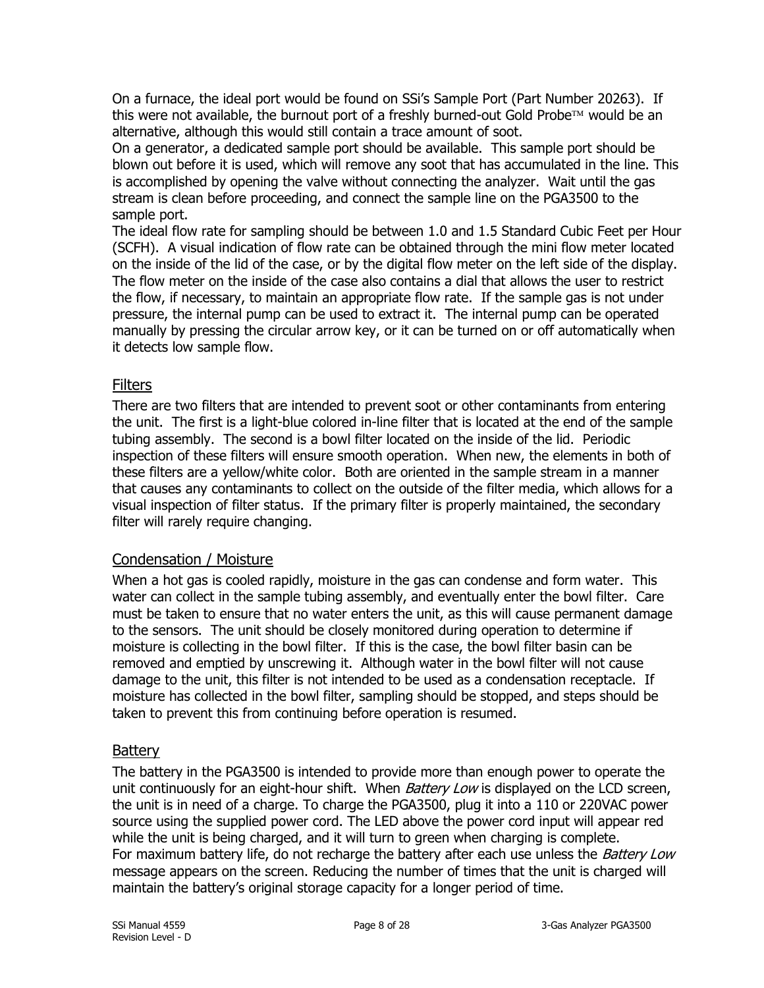On a furnace, the ideal port would be found on SSi's Sample Port (Part Number 20263). If this were not available, the burnout port of a freshly burned-out Gold Probe $\mathbb{N}$  would be an alternative, although this would still contain a trace amount of soot.

On a generator, a dedicated sample port should be available. This sample port should be blown out before it is used, which will remove any soot that has accumulated in the line. This is accomplished by opening the valve without connecting the analyzer. Wait until the gas stream is clean before proceeding, and connect the sample line on the PGA3500 to the sample port.

The ideal flow rate for sampling should be between 1.0 and 1.5 Standard Cubic Feet per Hour (SCFH). A visual indication of flow rate can be obtained through the mini flow meter located on the inside of the lid of the case, or by the digital flow meter on the left side of the display. The flow meter on the inside of the case also contains a dial that allows the user to restrict the flow, if necessary, to maintain an appropriate flow rate. If the sample gas is not under pressure, the internal pump can be used to extract it. The internal pump can be operated manually by pressing the circular arrow key, or it can be turned on or off automatically when it detects low sample flow.

## <span id="page-7-0"></span>**Filters**

There are two filters that are intended to prevent soot or other contaminants from entering the unit. The first is a light-blue colored in-line filter that is located at the end of the sample tubing assembly. The second is a bowl filter located on the inside of the lid. Periodic inspection of these filters will ensure smooth operation. When new, the elements in both of these filters are a yellow/white color. Both are oriented in the sample stream in a manner that causes any contaminants to collect on the outside of the filter media, which allows for a visual inspection of filter status. If the primary filter is properly maintained, the secondary filter will rarely require changing.

## <span id="page-7-1"></span>Condensation / Moisture

When a hot gas is cooled rapidly, moisture in the gas can condense and form water. This water can collect in the sample tubing assembly, and eventually enter the bowl filter. Care must be taken to ensure that no water enters the unit, as this will cause permanent damage to the sensors. The unit should be closely monitored during operation to determine if moisture is collecting in the bowl filter. If this is the case, the bowl filter basin can be removed and emptied by unscrewing it. Although water in the bowl filter will not cause damage to the unit, this filter is not intended to be used as a condensation receptacle. If moisture has collected in the bowl filter, sampling should be stopped, and steps should be taken to prevent this from continuing before operation is resumed.

## <span id="page-7-2"></span>**Battery**

The battery in the PGA3500 is intended to provide more than enough power to operate the unit continuously for an eight-hour shift. When *Battery Low* is displayed on the LCD screen, the unit is in need of a charge. To charge the PGA3500, plug it into a 110 or 220VAC power source using the supplied power cord. The LED above the power cord input will appear red while the unit is being charged, and it will turn to green when charging is complete. For maximum battery life, do not recharge the battery after each use unless the *Battery Low* message appears on the screen. Reducing the number of times that the unit is charged will maintain the battery's original storage capacity for a longer period of time.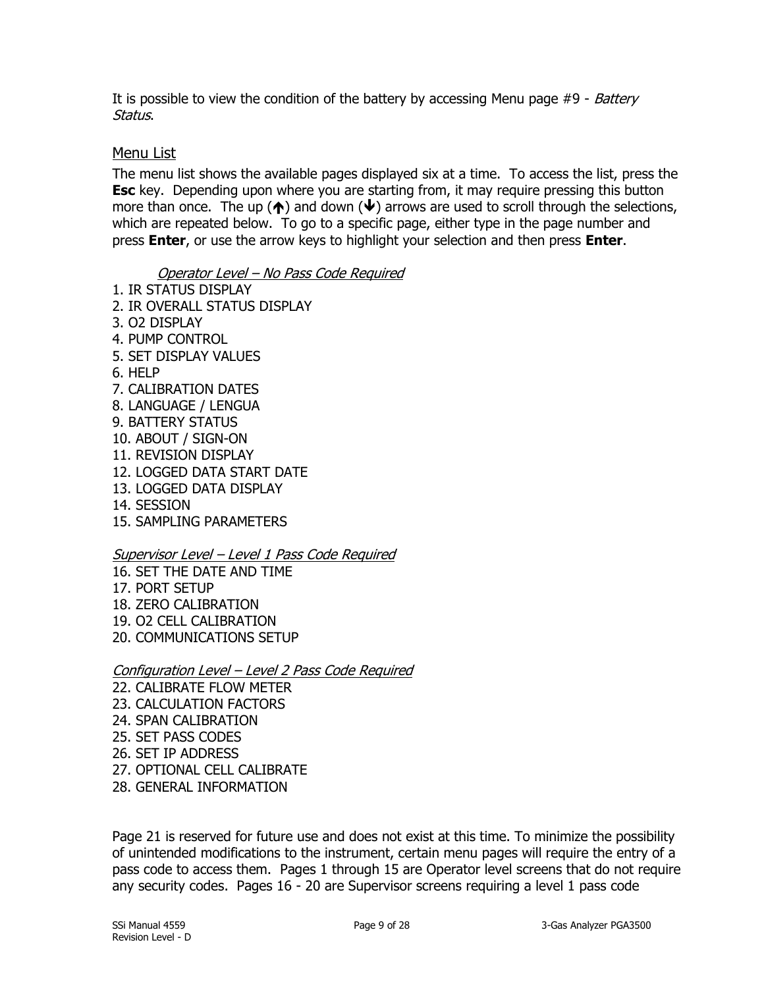It is possible to view the condition of the battery by accessing Menu page  $#9$  - Battery Status.

#### <span id="page-8-0"></span>Menu List

The menu list shows the available pages displayed six at a time. To access the list, press the **Esc** key. Depending upon where you are starting from, it may require pressing this button more than once. The up ( $\spadesuit$ ) and down ( $\clubsuit$ ) arrows are used to scroll through the selections, which are repeated below. To go to a specific page, either type in the page number and press **Enter**, or use the arrow keys to highlight your selection and then press **Enter**.

#### Operator Level – No Pass Code Required

- 1. IR STATUS DISPLAY 2. IR OVERALL STATUS DISPLAY 3. O2 DISPLAY 4. PUMP CONTROL 5. SET DISPLAY VALUES 6. HELP 7. CALIBRATION DATES 8. LANGUAGE / LENGUA 9. BATTERY STATUS
- 10. ABOUT / SIGN-ON
- 11. REVISION DISPLAY
- 12. LOGGED DATA START DATE
- 13. LOGGED DATA DISPLAY
- 14. SESSION
- 15. SAMPLING PARAMETERS

#### Supervisor Level – Level 1 Pass Code Required

- 16. SET THE DATE AND TIME
- 17. PORT SETUP
- 18. ZERO CALIBRATION
- 19. O2 CELL CALIBRATION
- 20. COMMUNICATIONS SETUP

#### Configuration Level – Level 2 Pass Code Required

22. CALIBRATE FLOW METER 23. CALCULATION FACTORS 24. SPAN CALIBRATION 25. SET PASS CODES 26. SET IP ADDRESS 27. OPTIONAL CELL CALIBRATE 28. GENERAL INFORMATION

Page 21 is reserved for future use and does not exist at this time. To minimize the possibility of unintended modifications to the instrument, certain menu pages will require the entry of a pass code to access them. Pages 1 through 15 are Operator level screens that do not require any security codes. Pages 16 - 20 are Supervisor screens requiring a level 1 pass code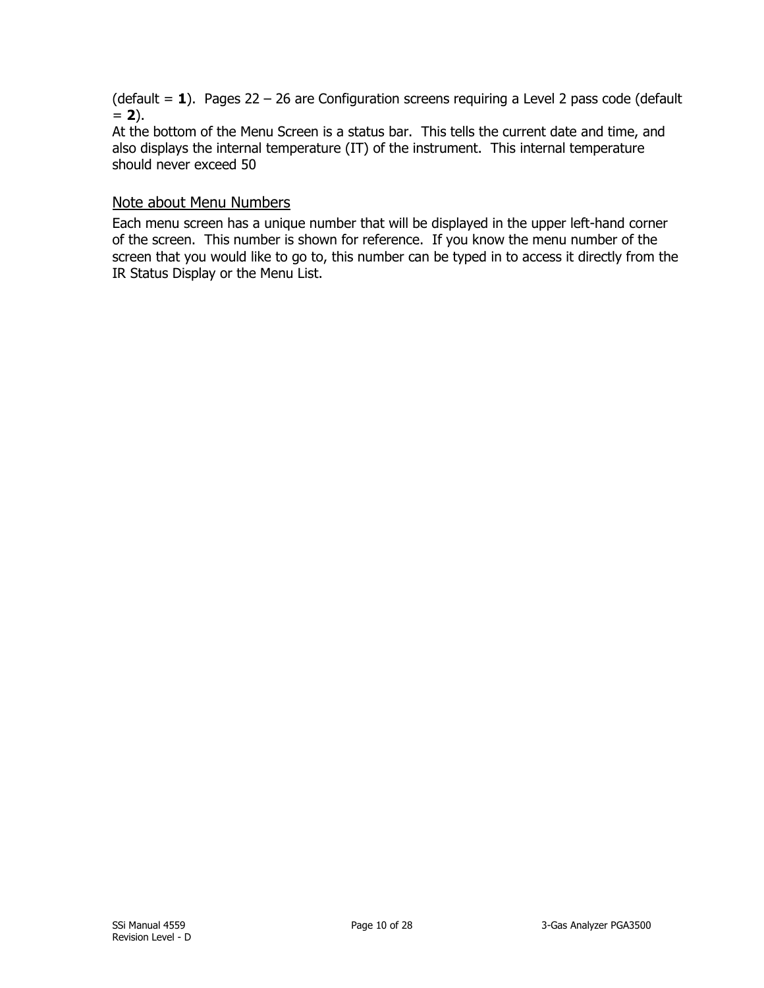(default = **1**). Pages 22 – 26 are Configuration screens requiring a Level 2 pass code (default  $= 2$ ).

At the bottom of the Menu Screen is a status bar. This tells the current date and time, and also displays the internal temperature (IT) of the instrument. This internal temperature should never exceed 50

#### <span id="page-9-0"></span>Note about Menu Numbers

Each menu screen has a unique number that will be displayed in the upper left-hand corner of the screen. This number is shown for reference. If you know the menu number of the screen that you would like to go to, this number can be typed in to access it directly from the IR Status Display or the Menu List.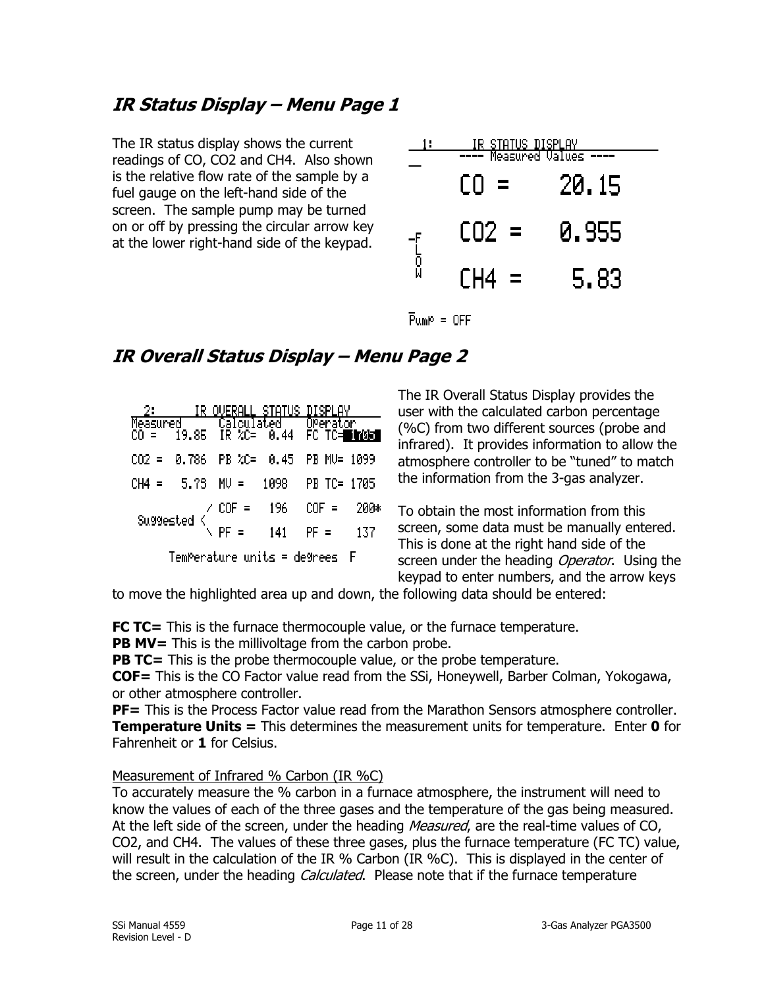## <span id="page-10-0"></span>**IR Status Display – Menu Page 1**

The IR status display shows the current readings of CO, CO2 and CH4. Also shown is the relative flow rate of the sample by a fuel gauge on the left-hand side of the screen. The sample pump may be turned on or off by pressing the circular arrow key at the lower right-hand side of the keypad.

|              | <u>  IR STATUS DISPLAY  </u><br>---- Measured Values |       |  |  |  |
|--------------|------------------------------------------------------|-------|--|--|--|
|              | СO<br>$\equiv$                                       | 20.15 |  |  |  |
|              | $CO2 =$                                              | 0.955 |  |  |  |
| ۲<br>۵<br>۱  | CH4 =                                                | 5.83  |  |  |  |
| $Pump = OFF$ |                                                      |       |  |  |  |

## <span id="page-10-1"></span>**IR Overall Status Display – Menu Page 2**

|                                                                                     |  | <u>OVERALL STATUS </u>                                                                    |  | DISPLAY |        |
|-------------------------------------------------------------------------------------|--|-------------------------------------------------------------------------------------------|--|---------|--------|
|                                                                                     |  | Measured '' Calculated'' Operator<br>CO =  19.85  IR %C=  0.44  FC TC= <mark>Dh0Gd</mark> |  |         |        |
|                                                                                     |  | CO2 = 0.786 PB %C= 0.45 PB MV= 1099                                                       |  |         |        |
|                                                                                     |  | CH4 = 5.75 MV = 1098 PB TC= 1705                                                          |  |         |        |
| Suggested $\begin{array}{c} \times \text{COF} = 196 \\ \text{PF} = 141 \end{array}$ |  |                                                                                           |  | $COF =$ | - 200* |
|                                                                                     |  |                                                                                           |  | $PF =$  | 137    |
| TemPerature units = de9rees F                                                       |  |                                                                                           |  |         |        |

The IR Overall Status Display provides the user with the calculated carbon percentage (%C) from two different sources (probe and infrared). It provides information to allow the atmosphere controller to be "tuned" to match the information from the 3-gas analyzer.

To obtain the most information from this screen, some data must be manually entered. This is done at the right hand side of the screen under the heading Operator. Using the keypad to enter numbers, and the arrow keys

to move the highlighted area up and down, the following data should be entered:

**FC TC=** This is the furnace thermocouple value, or the furnace temperature.

**PB MV=** This is the millivoltage from the carbon probe.

**PB TC=** This is the probe thermocouple value, or the probe temperature.

**COF=** This is the CO Factor value read from the SSi, Honeywell, Barber Colman, Yokogawa, or other atmosphere controller.

**PF=** This is the Process Factor value read from the Marathon Sensors atmosphere controller. **Temperature Units =** This determines the measurement units for temperature. Enter **0** for Fahrenheit or **1** for Celsius.

#### Measurement of Infrared % Carbon (IR %C)

To accurately measure the % carbon in a furnace atmosphere, the instrument will need to know the values of each of the three gases and the temperature of the gas being measured. At the left side of the screen, under the heading *Measured*, are the real-time values of CO, CO2, and CH4. The values of these three gases, plus the furnace temperature (FC TC) value, will result in the calculation of the IR % Carbon (IR %C). This is displayed in the center of the screen, under the heading *Calculated*. Please note that if the furnace temperature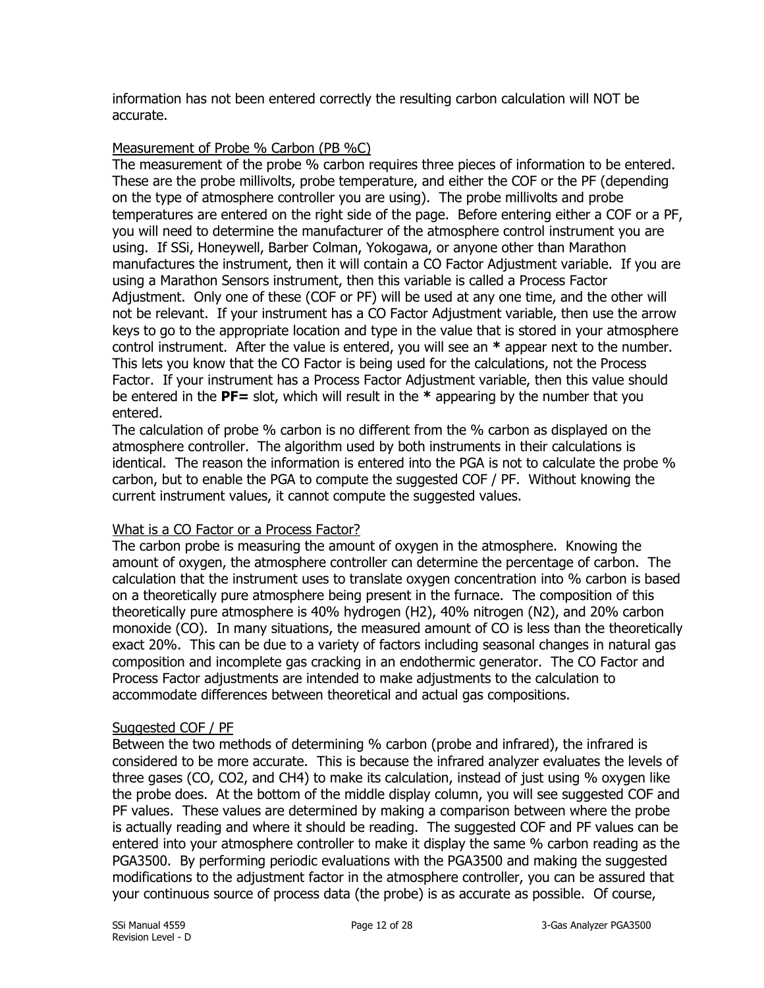information has not been entered correctly the resulting carbon calculation will NOT be accurate.

#### Measurement of Probe % Carbon (PB %C)

The measurement of the probe % carbon requires three pieces of information to be entered. These are the probe millivolts, probe temperature, and either the COF or the PF (depending on the type of atmosphere controller you are using). The probe millivolts and probe temperatures are entered on the right side of the page. Before entering either a COF or a PF, you will need to determine the manufacturer of the atmosphere control instrument you are using. If SSi, Honeywell, Barber Colman, Yokogawa, or anyone other than Marathon manufactures the instrument, then it will contain a CO Factor Adjustment variable. If you are using a Marathon Sensors instrument, then this variable is called a Process Factor Adjustment. Only one of these (COF or PF) will be used at any one time, and the other will not be relevant. If your instrument has a CO Factor Adjustment variable, then use the arrow keys to go to the appropriate location and type in the value that is stored in your atmosphere control instrument. After the value is entered, you will see an **\*** appear next to the number. This lets you know that the CO Factor is being used for the calculations, not the Process Factor. If your instrument has a Process Factor Adjustment variable, then this value should be entered in the **PF=** slot, which will result in the **\*** appearing by the number that you entered.

The calculation of probe % carbon is no different from the % carbon as displayed on the atmosphere controller. The algorithm used by both instruments in their calculations is identical. The reason the information is entered into the PGA is not to calculate the probe % carbon, but to enable the PGA to compute the suggested COF / PF. Without knowing the current instrument values, it cannot compute the suggested values.

#### What is a CO Factor or a Process Factor?

The carbon probe is measuring the amount of oxygen in the atmosphere. Knowing the amount of oxygen, the atmosphere controller can determine the percentage of carbon. The calculation that the instrument uses to translate oxygen concentration into % carbon is based on a theoretically pure atmosphere being present in the furnace. The composition of this theoretically pure atmosphere is 40% hydrogen (H2), 40% nitrogen (N2), and 20% carbon monoxide (CO). In many situations, the measured amount of CO is less than the theoretically exact 20%. This can be due to a variety of factors including seasonal changes in natural gas composition and incomplete gas cracking in an endothermic generator. The CO Factor and Process Factor adjustments are intended to make adjustments to the calculation to accommodate differences between theoretical and actual gas compositions.

#### Suggested COF / PF

Between the two methods of determining % carbon (probe and infrared), the infrared is considered to be more accurate. This is because the infrared analyzer evaluates the levels of three gases (CO, CO2, and CH4) to make its calculation, instead of just using % oxygen like the probe does. At the bottom of the middle display column, you will see suggested COF and PF values. These values are determined by making a comparison between where the probe is actually reading and where it should be reading. The suggested COF and PF values can be entered into your atmosphere controller to make it display the same % carbon reading as the PGA3500. By performing periodic evaluations with the PGA3500 and making the suggested modifications to the adjustment factor in the atmosphere controller, you can be assured that your continuous source of process data (the probe) is as accurate as possible. Of course,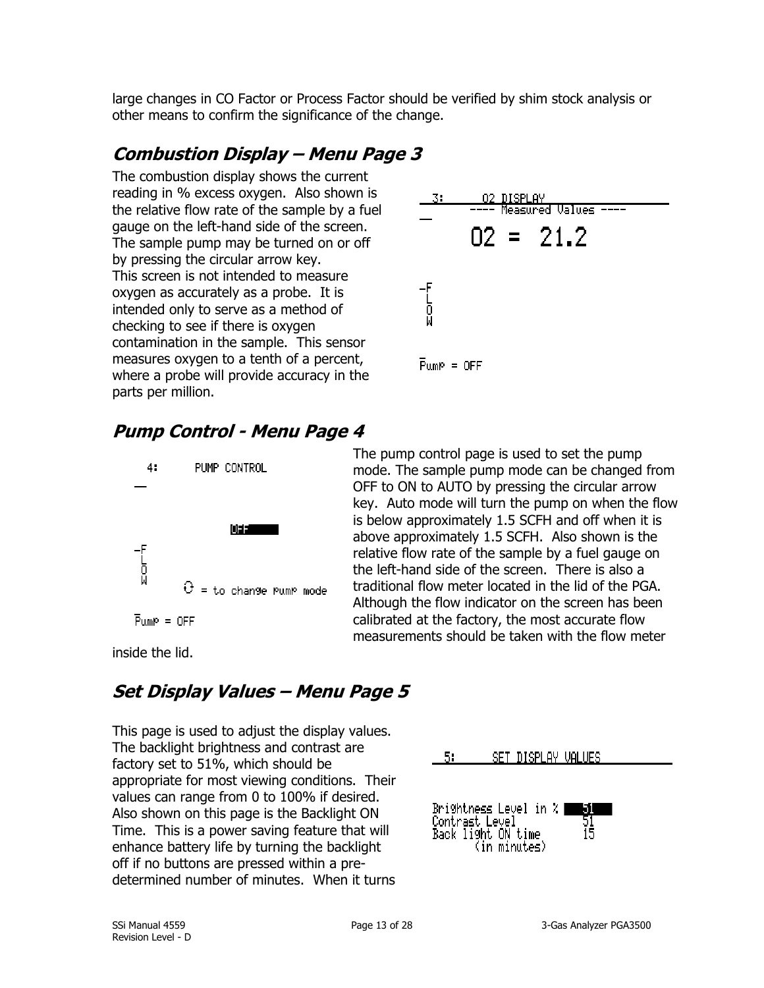large changes in CO Factor or Process Factor should be verified by shim stock analysis or other means to confirm the significance of the change.

## <span id="page-12-0"></span>**Combustion Display – Menu Page 3**

The combustion display shows the current reading in % excess oxygen. Also shown is the relative flow rate of the sample by a fuel gauge on the left-hand side of the screen. The sample pump may be turned on or off by pressing the circular arrow key. This screen is not intended to measure oxygen as accurately as a probe. It is intended only to serve as a method of checking to see if there is oxygen contamination in the sample. This sensor measures oxygen to a tenth of a percent, where a probe will provide accuracy in the parts per million.



## <span id="page-12-1"></span>**Pump Control - Menu Page 4**



The pump control page is used to set the pump mode. The sample pump mode can be changed from OFF to ON to AUTO by pressing the circular arrow key. Auto mode will turn the pump on when the flow is below approximately 1.5 SCFH and off when it is above approximately 1.5 SCFH. Also shown is the relative flow rate of the sample by a fuel gauge on the left-hand side of the screen. There is also a traditional flow meter located in the lid of the PGA. Although the flow indicator on the screen has been calibrated at the factory, the most accurate flow measurements should be taken with the flow meter

inside the lid.

## <span id="page-12-2"></span>**Set Display Values – Menu Page 5**

This page is used to adjust the display values. The backlight brightness and contrast are factory set to 51%, which should be appropriate for most viewing conditions. Their values can range from 0 to 100% if desired. Also shown on this page is the Backlight ON Time. This is a power saving feature that will enhance battery life by turning the backlight off if no buttons are pressed within a predetermined number of minutes. When it turns

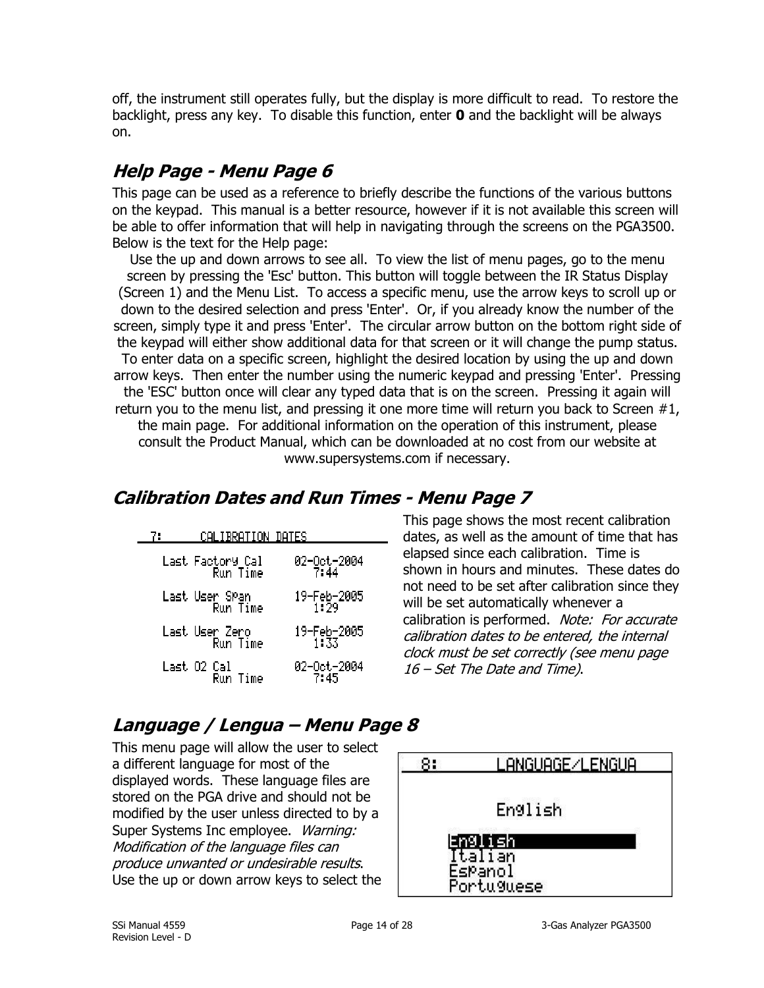off, the instrument still operates fully, but the display is more difficult to read. To restore the backlight, press any key. To disable this function, enter **0** and the backlight will be always on.

## <span id="page-13-0"></span>**Help Page - Menu Page 6**

This page can be used as a reference to briefly describe the functions of the various buttons on the keypad. This manual is a better resource, however if it is not available this screen will be able to offer information that will help in navigating through the screens on the PGA3500. Below is the text for the Help page:

Use the up and down arrows to see all. To view the list of menu pages, go to the menu screen by pressing the 'Esc' button. This button will toggle between the IR Status Display (Screen 1) and the Menu List. To access a specific menu, use the arrow keys to scroll up or down to the desired selection and press 'Enter'. Or, if you already know the number of the screen, simply type it and press 'Enter'. The circular arrow button on the bottom right side of the keypad will either show additional data for that screen or it will change the pump status. To enter data on a specific screen, highlight the desired location by using the up and down arrow keys. Then enter the number using the numeric keypad and pressing 'Enter'. Pressing the 'ESC' button once will clear any typed data that is on the screen. Pressing it again will return you to the menu list, and pressing it one more time will return you back to Screen #1, the main page. For additional information on the operation of this instrument, please consult the Product Manual, which can be downloaded at no cost from our website at www.supersystems.com if necessary.

## <span id="page-13-1"></span>**Calibration Dates and Run Times - Menu Page 7**

02-0ct-2004<br>7:45

| 71 | CALIBRATION DATES            |                       |
|----|------------------------------|-----------------------|
|    | Last Factory Cal<br>Run Time | 02-0ct-2004<br>7:44   |
|    | Last User SPan<br>Run Time   |                       |
|    | Last User Zero<br>Run Time   | 19-Feb-2005<br>1133.1 |

Run Time

Last 02 Cal<br>Run Time

This page shows the most recent calibration dates, as well as the amount of time that has elapsed since each calibration. Time is shown in hours and minutes. These dates do not need to be set after calibration since they will be set automatically whenever a calibration is performed. Note: For accurate calibration dates to be entered, the internal clock must be set correctly (see menu page 16 – Set The Date and Time).

## <span id="page-13-2"></span>**Language / Lengua – Menu Page 8**

This menu page will allow the user to select a different language for most of the displayed words. These language files are stored on the PGA drive and should not be modified by the user unless directed to by a Super Systems Inc employee. Warning: Modification of the language files can produce unwanted or undesirable results. Use the up or down arrow keys to select the

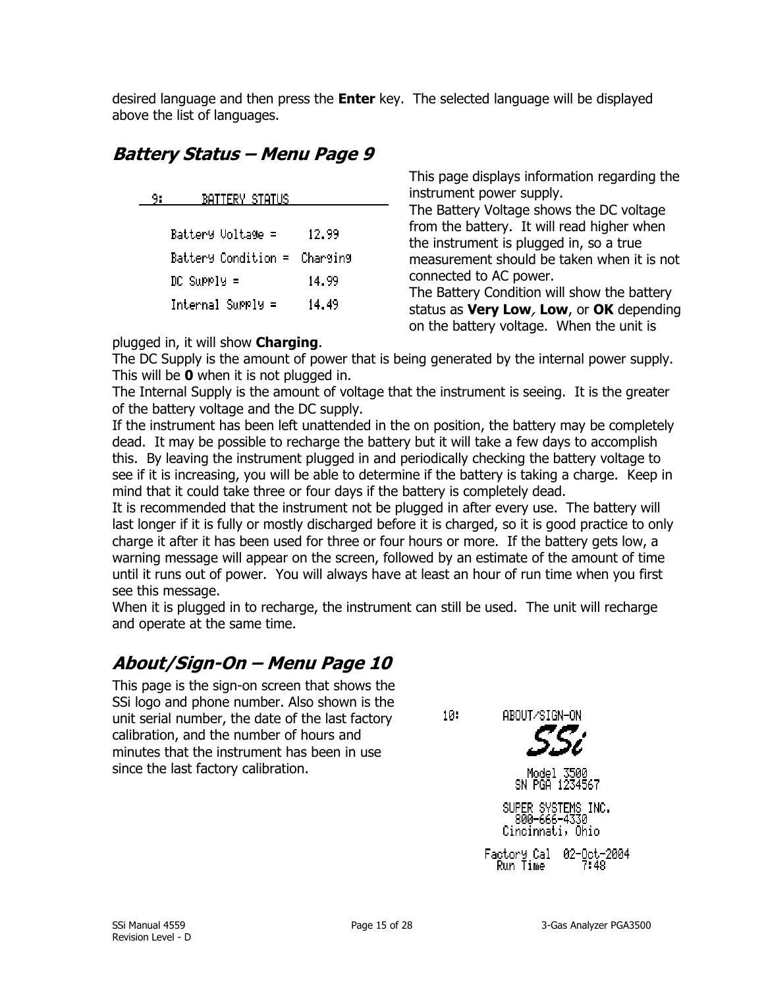desired language and then press the **Enter** key. The selected language will be displayed above the list of languages.

## <span id="page-14-0"></span>**Battery Status – Menu Page 9**

| - 91 | BATTERY STATUS               |       | instrument power supply.                                                               |
|------|------------------------------|-------|----------------------------------------------------------------------------------------|
|      |                              |       | The Battery Voltage shows the DC voltage<br>from the battery. It will read higher when |
|      | Battery Voltage =            | 12.99 | the instrument is plugged in, so a true                                                |
|      | Battery Condition = Charging |       | measurement should be taken when it is not                                             |
|      | $DC$ Supply =                | 14.99 | connected to AC power.                                                                 |
|      |                              |       | The Battery Condition will show the battery                                            |
|      | $Internal$ Supply =          | 14.49 | status as Very Low, Low, or OK depending<br>on the battery voltage. When the unit is   |

#### plugged in, it will show **Charging**.

The DC Supply is the amount of power that is being generated by the internal power supply. This will be **0** when it is not plugged in.

The Internal Supply is the amount of voltage that the instrument is seeing. It is the greater of the battery voltage and the DC supply.

If the instrument has been left unattended in the on position, the battery may be completely dead. It may be possible to recharge the battery but it will take a few days to accomplish this. By leaving the instrument plugged in and periodically checking the battery voltage to see if it is increasing, you will be able to determine if the battery is taking a charge. Keep in mind that it could take three or four days if the battery is completely dead.

It is recommended that the instrument not be plugged in after every use. The battery will last longer if it is fully or mostly discharged before it is charged, so it is good practice to only charge it after it has been used for three or four hours or more. If the battery gets low, a warning message will appear on the screen, followed by an estimate of the amount of time until it runs out of power. You will always have at least an hour of run time when you first see this message.

When it is plugged in to recharge, the instrument can still be used. The unit will recharge and operate at the same time.

## <span id="page-14-1"></span>**About/Sign-On – Menu Page 10**

This page is the sign-on screen that shows the SSi logo and phone number. Also shown is the unit serial number, the date of the last factory calibration, and the number of hours and minutes that the instrument has been in use since the last factory calibration.

ABOUT/SIGN-ON

 $10:$ 



This page displays information regarding the

Model 3500 SN PGA 12

SUPER SYSTEMS INC. 800-666-4330 Cincinnati, Ohio

Factory Cal 02-Oct-2004 Run Time 7:48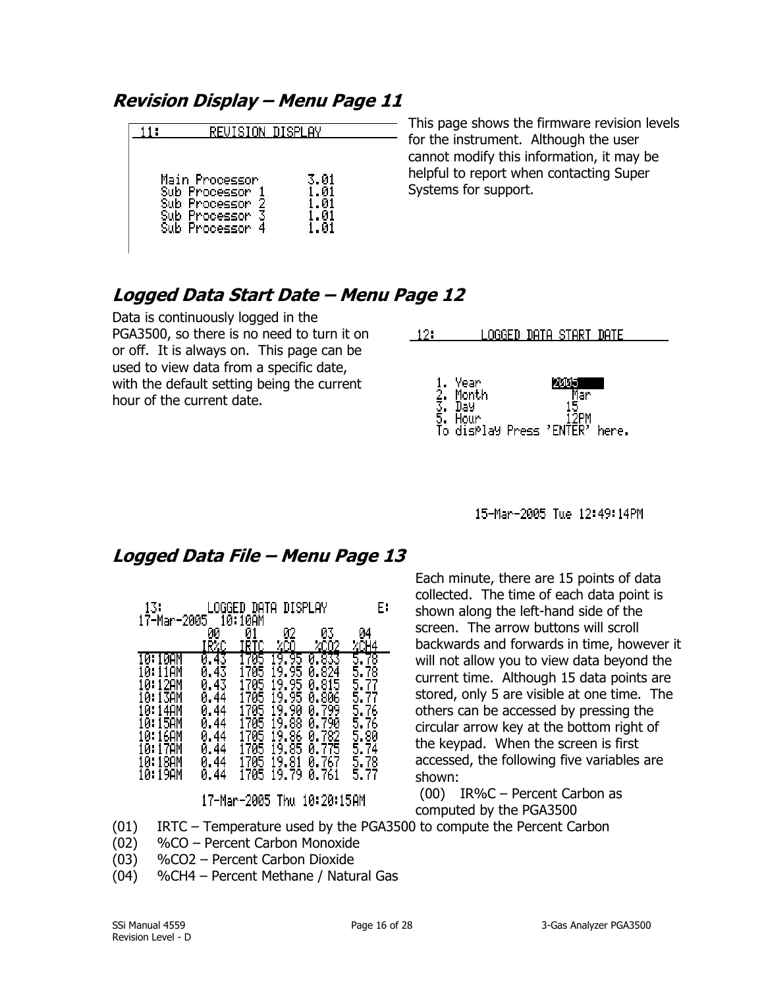## <span id="page-15-0"></span>**Revision Display – Menu Page 11**

| REVISION DISPLAY                                                   |  |
|--------------------------------------------------------------------|--|
| Main Processor<br>Processor<br>Processor<br>Processor<br>Processor |  |

This page shows the firmware revision levels  $-$  for the instrument. Although the user cannot modify this information, it may be helpful to report when contacting Super Systems for support.

## <span id="page-15-1"></span>**Logged Data Start Date – Menu Page 12**

Data is continuously logged in the PGA3500, so there is no need to turn it on or off. It is always on. This page can be used to view data from a specific date, with the default setting being the current hour of the current date.

| 121 |                                                                      | LOGGED DATA START DATE |       |  |
|-----|----------------------------------------------------------------------|------------------------|-------|--|
|     | 1. Year<br>2. Month<br>3. Day<br>5. Hour<br>To display Press 'ENTER' | мин<br>Mar<br>12PM     | here. |  |

15-Man-2005 Tue 12:49:14PM

## <span id="page-15-2"></span>**Logged Data File – Menu Page 13**

| 13.<br>17-Mar-2005                                                                                      | īāT                                                        | data<br>10AM                                  | DISPLAY                                                                         |                                                                                             | E۰                                                                                           |
|---------------------------------------------------------------------------------------------------------|------------------------------------------------------------|-----------------------------------------------|---------------------------------------------------------------------------------|---------------------------------------------------------------------------------------------|----------------------------------------------------------------------------------------------|
|                                                                                                         | 00<br>RZC                                                  | Ø,                                            | 02                                                                              | U۵<br>ZCO2                                                                                  | И4<br>44                                                                                     |
| N<br>12AM<br>Ø<br>H<br>I30M<br>U.<br>н<br>0:14AM<br>15AM<br>И<br>н<br>0:16AM<br>и<br>Н<br>0:18AM<br>ЙΗ. | 43<br>40<br>И<br>44<br>44<br>Й<br>44<br>И<br>44<br>Й<br>44 | 705<br>765<br>705<br>705<br>705<br>705<br>705 | 95<br>9<br>95<br>95<br>9<br>9<br>90<br>88<br>9<br>86<br>9<br>85<br>9<br>81<br>9 | 824<br>Ø<br>815<br>0.<br>806<br>0.<br>0.799<br>790<br>0.<br>0.782<br>775<br>Ø<br>0.767<br>Й | 8<br>5<br>78<br>5,<br>ŤĪ<br>§.<br>5.<br>76<br>5.<br>76<br>δ.<br>80<br>5.<br>74<br>5,78<br>5. |

17-Mar-2005 Thu 10:20:15AM

Each minute, there are 15 points of data collected. The time of each data point is shown along the left-hand side of the screen. The arrow buttons will scroll backwards and forwards in time, however it will not allow you to view data beyond the current time. Although 15 data points are stored, only 5 are visible at one time. The others can be accessed by pressing the circular arrow key at the bottom right of the keypad. When the screen is first accessed, the following five variables are shown:

(00) IR%C – Percent Carbon as computed by the PGA3500

- (01) IRTC Temperature used by the PGA3500 to compute the Percent Carbon
- (02) %CO Percent Carbon Monoxide
- (03) %CO2 Percent Carbon Dioxide
- (04) %CH4 Percent Methane / Natural Gas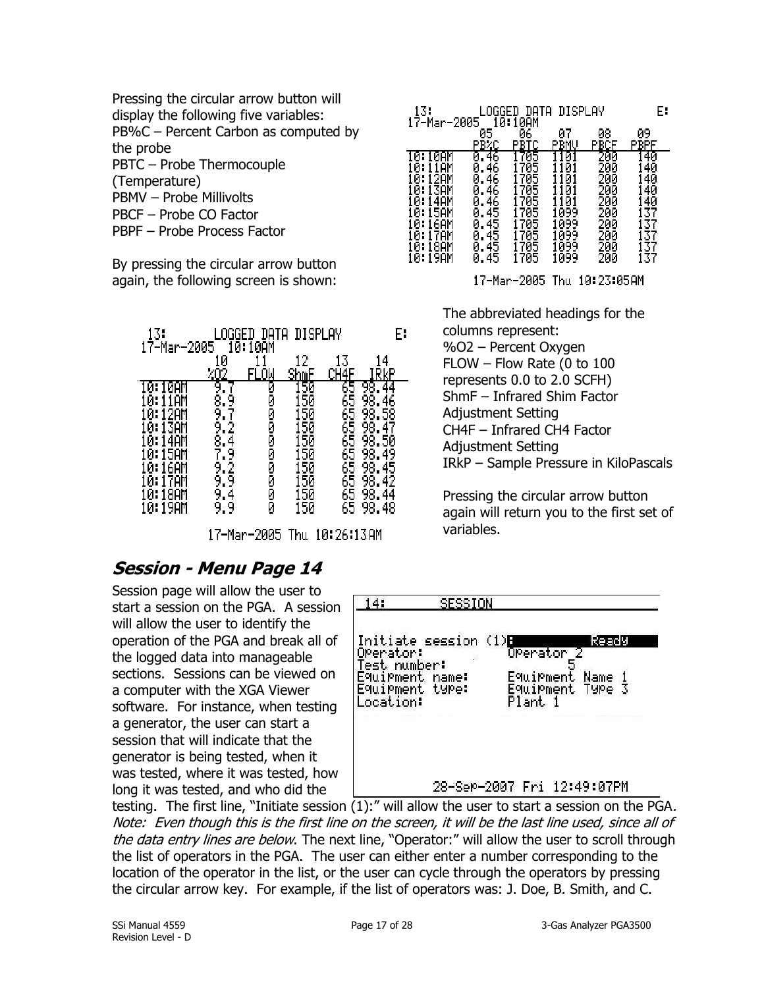Pressing the circular arrow button will display the following five variables: PB%C – Percent Carbon as computed by the probe PBTC – Probe Thermocouple (Temperature) PBMV – Probe Millivolts PBCF – Probe CO Factor PBPF – Probe Process Factor

By pressing the circular arrow button again, the following screen is shown:

| 13.<br>17-Mar-2005                                                          |        | 10:10AM        | DATA DISPLAY                     |                                              | E۰                        |
|-----------------------------------------------------------------------------|--------|----------------|----------------------------------|----------------------------------------------|---------------------------|
|                                                                             | 0      | OМ             | 2                                | 13                                           | 4                         |
| 1 AM<br>и.<br>29M<br>и<br>13AM<br>и.<br>4AM<br>и.<br>и.<br>16AM<br>и.<br>и. | ğ<br>8 | ø<br>000000000 | 50<br>50<br>50<br>50<br>50<br>50 | 65<br>65<br>65<br>65<br>65<br>55<br>65<br>65 | 98<br>50<br>98<br>98<br>8 |

17-Mar-2005 Thu 10:26:13 AM

## <span id="page-16-0"></span>**Session - Menu Page 14**

Session page will allow the user to start a session on the PGA. A session will allow the user to identify the operation of the PGA and break all of the logged data into manageable sections. Sessions can be viewed on a computer with the XGA Viewer software. For instance, when testing a generator, the user can start a session that will indicate that the generator is being tested, when it was tested, where it was tested, how long it was tested, and who did the

| 13.<br>17-Mar-2005 | OGGED<br>1й: | DATA<br>10AM | <b>DISPLAY</b> |     | E۰  |
|--------------------|--------------|--------------|----------------|-----|-----|
|                    | 05           | 06           | и7             | 08  | 09  |
|                    | PBZC         | PBTC         | BMU            | BCF | BPF |
| 10:10AM            | 0.46         | 1705         | 101            | 200 | 40  |
| 10:11AM            | 0.46         | 1705         | 101            | 200 | 40  |
| 10:12AM            | 0.46         | 1705         | 101            | 200 | 140 |
| 10:13AM            | 0.46         | 1705         | 101            | 200 | 140 |
| 10:14AM            | 0.46         | 1705         | 101            | 200 | 140 |
| 10:15AM            | 0.45         | 1705         | 099            | 200 | 137 |
| 10:16AM            | 0.45         | 1705         | 1099           | 200 | 137 |
| 10:17AM            | 0.45         | 1705         | 099            | 200 | 137 |
| 10:18AM            | 0.45         | 1705         | 1099           | 200 | 137 |
| 10:19AM            | 0.45         | 1705         | 1099           | 200 | 137 |

17-Mar-2005 Thu 10:23:05AM

The abbreviated headings for the columns represent: %O2 – Percent Oxygen FLOW – Flow Rate (0 to 100 represents 0.0 to 2.0 SCFH) ShmF – Infrared Shim Factor Adjustment Setting CH4F – Infrared CH4 Factor Adjustment Setting IRkP – Sample Pressure in KiloPascals

Pressing the circular arrow button again will return you to the first set of variables.

| OPerator:                                          | Initiate session | (1)B<br>ReadY<br>OPerator 2           |
|----------------------------------------------------|------------------|---------------------------------------|
| Test number:<br>E9uiPment name:<br>Equipment type: |                  | E9wiPment.<br>Name<br>Equipment Type. |
| .ocation:                                          |                  | Plant 1                               |

testing. The first line, "Initiate session (1):" will allow the user to start a session on the PGA. Note: Even though this is the first line on the screen, it will be the last line used, since all of the data entry lines are below. The next line, "Operator:" will allow the user to scroll through the list of operators in the PGA. The user can either enter a number corresponding to the location of the operator in the list, or the user can cycle through the operators by pressing the circular arrow key. For example, if the list of operators was: J. Doe, B. Smith, and C.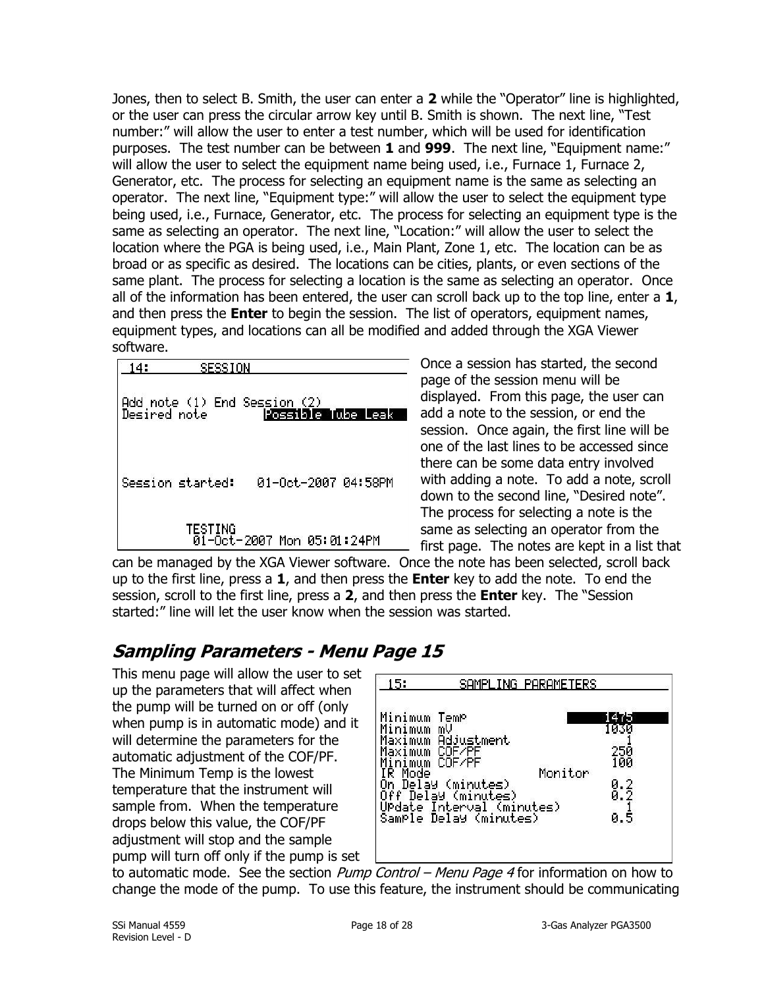Jones, then to select B. Smith, the user can enter a **2** while the "Operator" line is highlighted, or the user can press the circular arrow key until B. Smith is shown. The next line, "Test number:" will allow the user to enter a test number, which will be used for identification purposes. The test number can be between **1** and **999**. The next line, "Equipment name:" will allow the user to select the equipment name being used, i.e., Furnace 1, Furnace 2, Generator, etc. The process for selecting an equipment name is the same as selecting an operator. The next line, "Equipment type:" will allow the user to select the equipment type being used, i.e., Furnace, Generator, etc. The process for selecting an equipment type is the same as selecting an operator. The next line, "Location:" will allow the user to select the location where the PGA is being used, i.e., Main Plant, Zone 1, etc. The location can be as broad or as specific as desired. The locations can be cities, plants, or even sections of the same plant. The process for selecting a location is the same as selecting an operator. Once all of the information has been entered, the user can scroll back up to the top line, enter a **1**, and then press the **Enter** to begin the session. The list of operators, equipment names, equipment types, and locations can all be modified and added through the XGA Viewer software.

| 14:<br>SESSION   |                            |
|------------------|----------------------------|
|                  | Possible Tube Leak         |
| Session started: | 01-0ct-2007 04:58PM        |
| TESTING          | 01-Oct-2007 Mon 05:01:24PM |

Once a session has started, the second page of the session menu will be displayed. From this page, the user can add a note to the session, or end the session. Once again, the first line will be one of the last lines to be accessed since there can be some data entry involved with adding a note. To add a note, scroll down to the second line, "Desired note". The process for selecting a note is the same as selecting an operator from the first page. The notes are kept in a list that

can be managed by the XGA Viewer software. Once the note has been selected, scroll back up to the first line, press a **1**, and then press the **Enter** key to add the note. To end the session, scroll to the first line, press a **2**, and then press the **Enter** key. The "Session started:" line will let the user know when the session was started.

## <span id="page-17-0"></span>**Sampling Parameters - Menu Page 15**

This menu page will allow the user to set up the parameters that will affect when the pump will be turned on or off (only when pump is in automatic mode) and it will determine the parameters for the automatic adjustment of the COF/PF. The Minimum Temp is the lowest temperature that the instrument will sample from. When the temperature drops below this value, the COF/PF adjustment will stop and the sample pump will turn off only if the pump is set



to automatic mode. See the section *Pump Control – Menu Page 4* for information on how to change the mode of the pump. To use this feature, the instrument should be communicating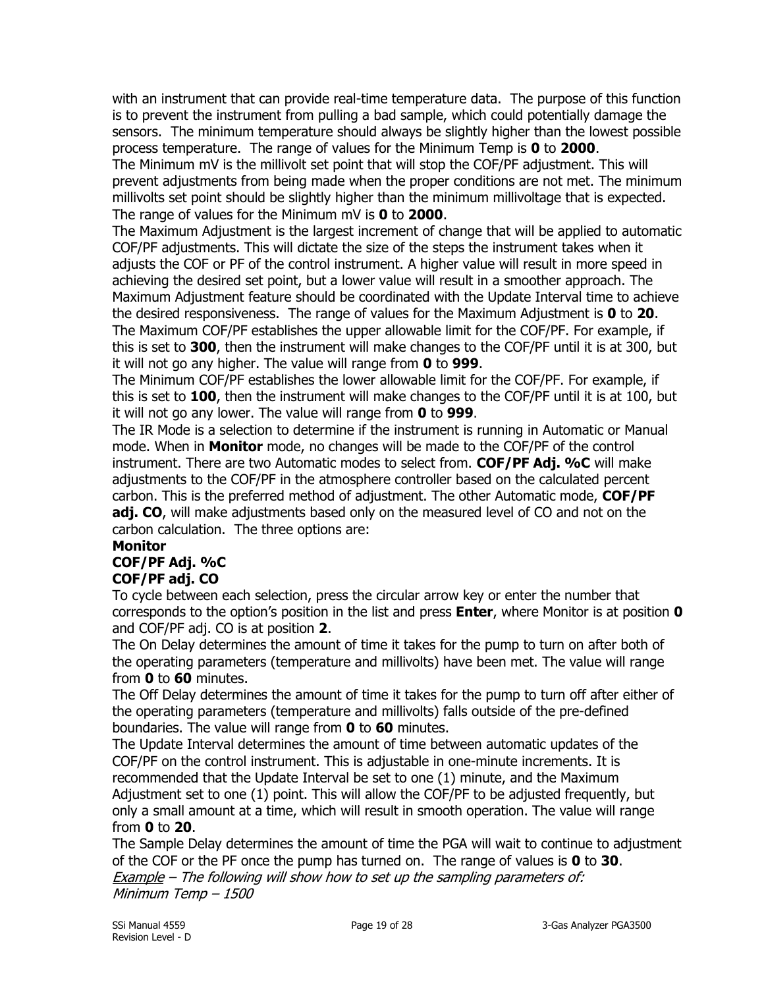with an instrument that can provide real-time temperature data. The purpose of this function is to prevent the instrument from pulling a bad sample, which could potentially damage the sensors. The minimum temperature should always be slightly higher than the lowest possible process temperature. The range of values for the Minimum Temp is **0** to **2000**. The Minimum mV is the millivolt set point that will stop the COF/PF adjustment. This will prevent adjustments from being made when the proper conditions are not met. The minimum millivolts set point should be slightly higher than the minimum millivoltage that is expected. The range of values for the Minimum mV is **0** to **2000**.

The Maximum Adjustment is the largest increment of change that will be applied to automatic COF/PF adjustments. This will dictate the size of the steps the instrument takes when it adjusts the COF or PF of the control instrument. A higher value will result in more speed in achieving the desired set point, but a lower value will result in a smoother approach. The Maximum Adjustment feature should be coordinated with the Update Interval time to achieve the desired responsiveness. The range of values for the Maximum Adjustment is **0** to **20**. The Maximum COF/PF establishes the upper allowable limit for the COF/PF. For example, if this is set to **300**, then the instrument will make changes to the COF/PF until it is at 300, but it will not go any higher. The value will range from **0** to **999**.

The Minimum COF/PF establishes the lower allowable limit for the COF/PF. For example, if this is set to **100**, then the instrument will make changes to the COF/PF until it is at 100, but it will not go any lower. The value will range from **0** to **999**.

The IR Mode is a selection to determine if the instrument is running in Automatic or Manual mode. When in **Monitor** mode, no changes will be made to the COF/PF of the control instrument. There are two Automatic modes to select from. **COF/PF Adj. %C** will make adjustments to the COF/PF in the atmosphere controller based on the calculated percent carbon. This is the preferred method of adjustment. The other Automatic mode, **COF/PF adj. CO**, will make adjustments based only on the measured level of CO and not on the carbon calculation. The three options are:

#### **Monitor COF/PF Adj. %C COF/PF adj. CO**

To cycle between each selection, press the circular arrow key or enter the number that corresponds to the option's position in the list and press **Enter**, where Monitor is at position **0** and COF/PF adj. CO is at position **2**.

The On Delay determines the amount of time it takes for the pump to turn on after both of the operating parameters (temperature and millivolts) have been met. The value will range from **0** to **60** minutes.

The Off Delay determines the amount of time it takes for the pump to turn off after either of the operating parameters (temperature and millivolts) falls outside of the pre-defined boundaries. The value will range from **0** to **60** minutes.

The Update Interval determines the amount of time between automatic updates of the COF/PF on the control instrument. This is adjustable in one-minute increments. It is recommended that the Update Interval be set to one (1) minute, and the Maximum Adjustment set to one (1) point. This will allow the COF/PF to be adjusted frequently, but only a small amount at a time, which will result in smooth operation. The value will range from **0** to **20**.

The Sample Delay determines the amount of time the PGA will wait to continue to adjustment of the COF or the PF once the pump has turned on. The range of values is **0** to **30**. Example - The following will show how to set up the sampling parameters of: Minimum Temp – 1500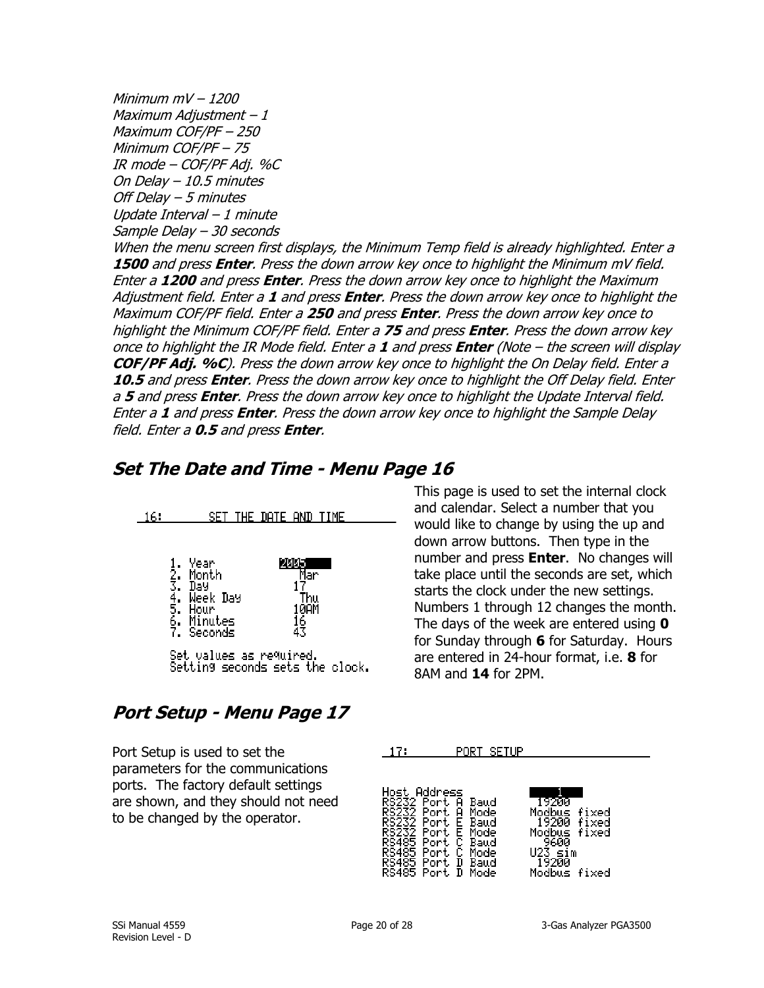Minimum mV – 1200 Maximum Adjustment – 1 Maximum COF/PF – 250 Minimum COF/PF – 75 IR mode – COF/PF Adj. %C On Delay – 10.5 minutes Off Delay – 5 minutes Update Interval – 1 minute Sample Delay – 30 seconds

When the menu screen first displays, the Minimum Temp field is already highlighted. Enter a **1500** and press **Enter**. Press the down arrow key once to highlight the Minimum mV field. Enter a **1200** and press **Enter**. Press the down arrow key once to highlight the Maximum Adjustment field. Enter a **1** and press **Enter**. Press the down arrow key once to highlight the Maximum COF/PF field. Enter a **250** and press **Enter**. Press the down arrow key once to highlight the Minimum COF/PF field. Enter a **75** and press **Enter**. Press the down arrow key once to highlight the IR Mode field. Enter a **1** and press **Enter** (Note – the screen will display **COF/PF Adj. %C**). Press the down arrow key once to highlight the On Delay field. Enter a **10.5** and press **Enter**. Press the down arrow key once to highlight the Off Delay field. Enter <sup>a</sup>**5** and press **Enter**. Press the down arrow key once to highlight the Update Interval field. Enter a **1** and press **Enter**. Press the down arrow key once to highlight the Sample Delay field. Enter a **0.5** and press **Enter**.

## <span id="page-19-0"></span>**Set The Date and Time - Menu Page 16**

| 16. |                                                                                                                                | SET THE DATE AND TIME                   |  |
|-----|--------------------------------------------------------------------------------------------------------------------------------|-----------------------------------------|--|
|     | Year<br>1. Year<br>3. Montl<br>3. Day<br>4. Week<br>5. Hour<br>6. Minut<br>7. Secon<br>Month<br>Week Day<br>Minutes<br>Seconds | 12005<br>Mar<br>Thu<br>10AM<br>16<br>43 |  |
|     | Set values as re9wired.                                                                                                        | Setting seconds sets the clock.         |  |

## <span id="page-19-1"></span>**Port Setup - Menu Page 17**

Port Setup is used to set the parameters for the communications ports. The factory default settings are shown, and they should not need to be changed by the operator.

This page is used to set the internal clock and calendar. Select a number that you would like to change by using the up and down arrow buttons. Then type in the number and press **Enter**. No changes will take place until the seconds are set, which starts the clock under the new settings. Numbers 1 through 12 changes the month. The days of the week are entered using **0** for Sunday through **6** for Saturday. Hours are entered in 24-hour format, i.e. **8** for 8AM and **14** for 2PM.

| 17:                                                                          |                                                                                                                                                                              | PORT SETUP |                                                                          |                                  |  |
|------------------------------------------------------------------------------|------------------------------------------------------------------------------------------------------------------------------------------------------------------------------|------------|--------------------------------------------------------------------------|----------------------------------|--|
| HOSt<br>RS232<br>RS232<br>RS232<br>RS232<br>RS485<br>RS485<br>RS485<br>RS485 | Address<br>-Port<br>Baud<br>Ĥ<br>Port<br>Mode<br>A<br>Port<br>Baud<br>Е<br>Port<br>Е<br>Mode<br>Port<br>С<br>Baud<br>Port<br>с<br>Mode<br>Port<br>D<br>Baud<br>Port.<br>Mode |            | 19200<br>Modbus<br>19200<br>Modbus<br>9600<br>U23 sim<br>19200<br>Modbus | fixed<br>fixed<br>fixed<br>fixed |  |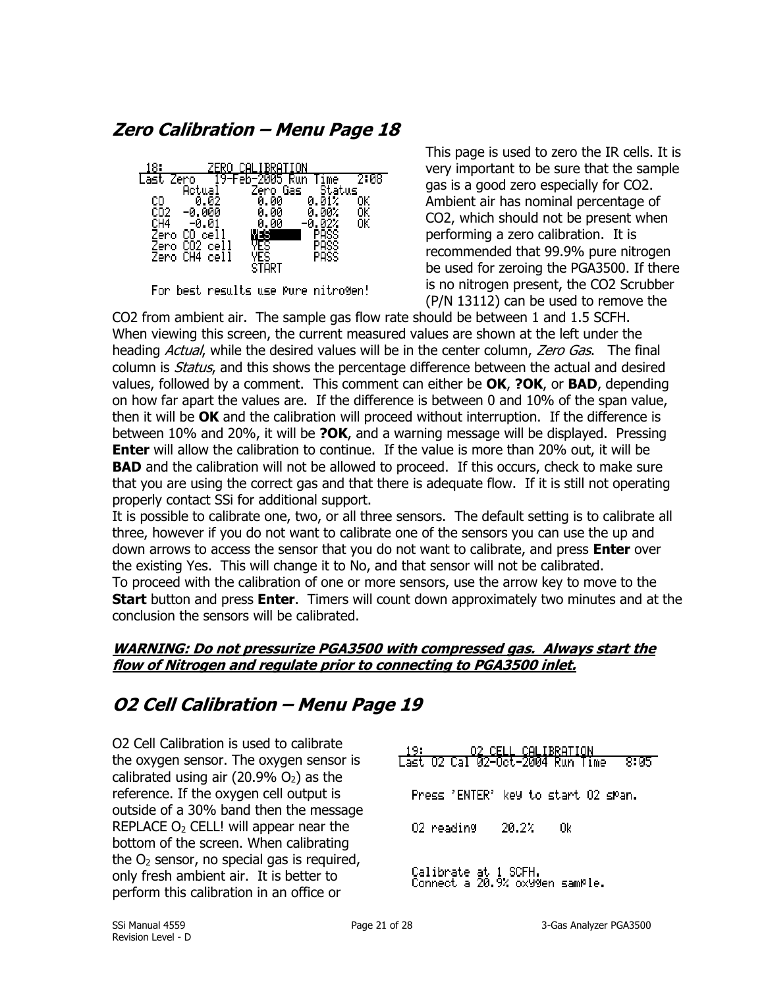<span id="page-20-0"></span>**Zero Calibration – Menu Page 18**



For best results use Pure nitrogen!

This page is used to zero the IR cells. It is very important to be sure that the sample gas is a good zero especially for CO2. Ambient air has nominal percentage of CO2, which should not be present when performing a zero calibration. It is recommended that 99.9% pure nitrogen be used for zeroing the PGA3500. If there is no nitrogen present, the CO2 Scrubber (P/N 13112) can be used to remove the

CO2 from ambient air. The sample gas flow rate should be between 1 and 1.5 SCFH. When viewing this screen, the current measured values are shown at the left under the heading Actual, while the desired values will be in the center column, Zero Gas. The final column is *Status*, and this shows the percentage difference between the actual and desired values, followed by a comment. This comment can either be **OK**, **?OK**, or **BAD**, depending on how far apart the values are. If the difference is between 0 and 10% of the span value, then it will be **OK** and the calibration will proceed without interruption. If the difference is between 10% and 20%, it will be **?OK**, and a warning message will be displayed. Pressing **Enter** will allow the calibration to continue. If the value is more than 20% out, it will be **BAD** and the calibration will not be allowed to proceed. If this occurs, check to make sure that you are using the correct gas and that there is adequate flow. If it is still not operating properly contact SSi for additional support.

It is possible to calibrate one, two, or all three sensors. The default setting is to calibrate all three, however if you do not want to calibrate one of the sensors you can use the up and down arrows to access the sensor that you do not want to calibrate, and press **Enter** over the existing Yes. This will change it to No, and that sensor will not be calibrated. To proceed with the calibration of one or more sensors, use the arrow key to move to the **Start** button and press **Enter**. Timers will count down approximately two minutes and at the conclusion the sensors will be calibrated.

## **WARNING: Do not pressurize PGA3500 with compressed gas. Always start the flow of Nitrogen and regulate prior to connecting to PGA3500 inlet.**

## <span id="page-20-1"></span>**O2 Cell Calibration – Menu Page 19**

O2 Cell Calibration is used to calibrate the oxygen sensor. The oxygen sensor is calibrated using air  $(20.9\% \text{ O}_2)$  as the reference. If the oxygen cell output is outside of a 30% band then the message REPLACE  $O<sub>2</sub>$  CELL! will appear near the bottom of the screen. When calibrating the  $O<sub>2</sub>$  sensor, no special gas is required, only fresh ambient air. It is better to perform this calibration in an office or

CELL <u>CALIBRATION</u> <u> Last 02 Cal 02–08t–2004 Run Time</u>  $8:05$ Press 'ENTER' key to start 02 span. 20.2% 0k 02 reading Calibrate at 1 SCFH.<br>Connect a 20.9% oxygen sample.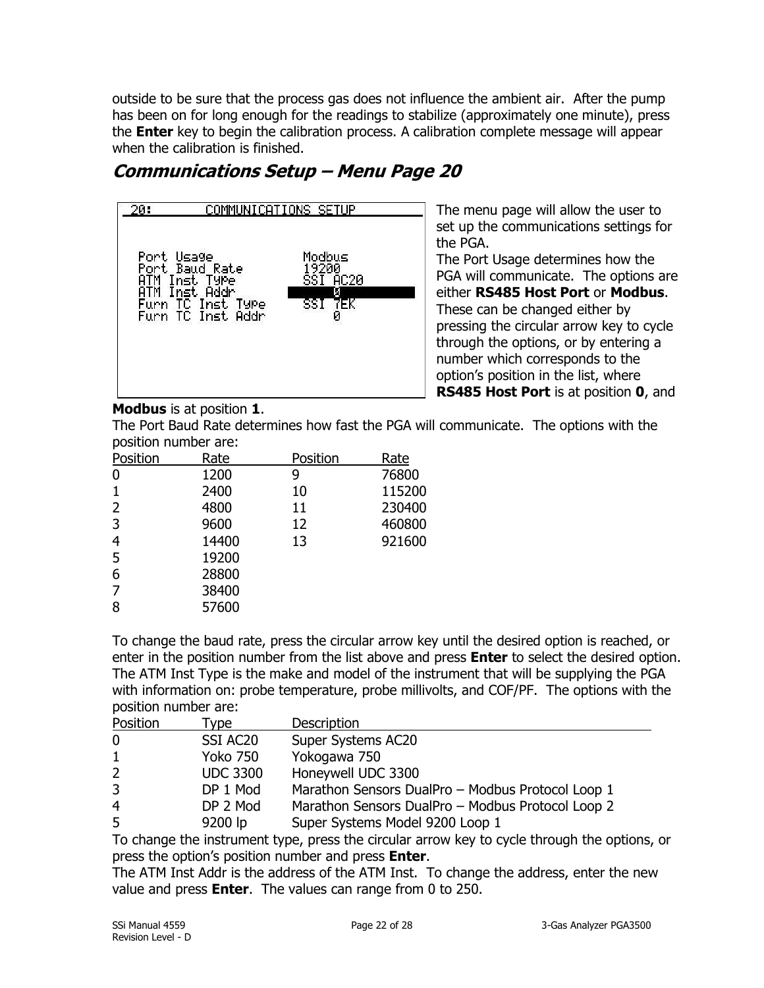outside to be sure that the process gas does not influence the ambient air. After the pump has been on for long enough for the readings to stabilize (approximately one minute), press the **Enter** key to begin the calibration process. A calibration complete message will appear when the calibration is finished.

## <span id="page-21-0"></span>**Communications Setup – Menu Page 20**



The menu page will allow the user to set up the communications settings for the PGA.

The Port Usage determines how the PGA will communicate. The options are either **RS485 Host Port** or **Modbus**. These can be changed either by pressing the circular arrow key to cycle through the options, or by entering a number which corresponds to the option's position in the list, where **RS485 Host Port** is at position **0**, and

**Modbus** is at position **1**.

The Port Baud Rate determines how fast the PGA will communicate. The options with the position number are:

| Position       | Rate  | Position | Rate   |
|----------------|-------|----------|--------|
| 0              | 1200  | 9        | 76800  |
|                | 2400  | 10       | 115200 |
| 2              | 4800  | 11       | 230400 |
| 3              | 9600  | 12       | 460800 |
| 4              | 14400 | 13       | 921600 |
| 5              | 19200 |          |        |
| 6              | 28800 |          |        |
| $\overline{7}$ | 38400 |          |        |
| 8              | 57600 |          |        |
|                |       |          |        |

To change the baud rate, press the circular arrow key until the desired option is reached, or enter in the position number from the list above and press **Enter** to select the desired option. The ATM Inst Type is the make and model of the instrument that will be supplying the PGA with information on: probe temperature, probe millivolts, and COF/PF. The options with the position number are:

| Position       | vpe:                 | <b>Description</b>                                |
|----------------|----------------------|---------------------------------------------------|
| 0              | SSI AC <sub>20</sub> | Super Systems AC20                                |
| $\mathbf{1}$   | <b>Yoko 750</b>      | Yokogawa 750                                      |
| $\overline{2}$ | <b>UDC 3300</b>      | Honeywell UDC 3300                                |
| 3              | DP 1 Mod             | Marathon Sensors DualPro - Modbus Protocol Loop 1 |
| 4              | DP 2 Mod             | Marathon Sensors DualPro - Modbus Protocol Loop 2 |
| 5              | 9200 lp              | Super Systems Model 9200 Loop 1                   |

To change the instrument type, press the circular arrow key to cycle through the options, or press the option's position number and press **Enter**.

The ATM Inst Addr is the address of the ATM Inst. To change the address, enter the new value and press **Enter**. The values can range from 0 to 250.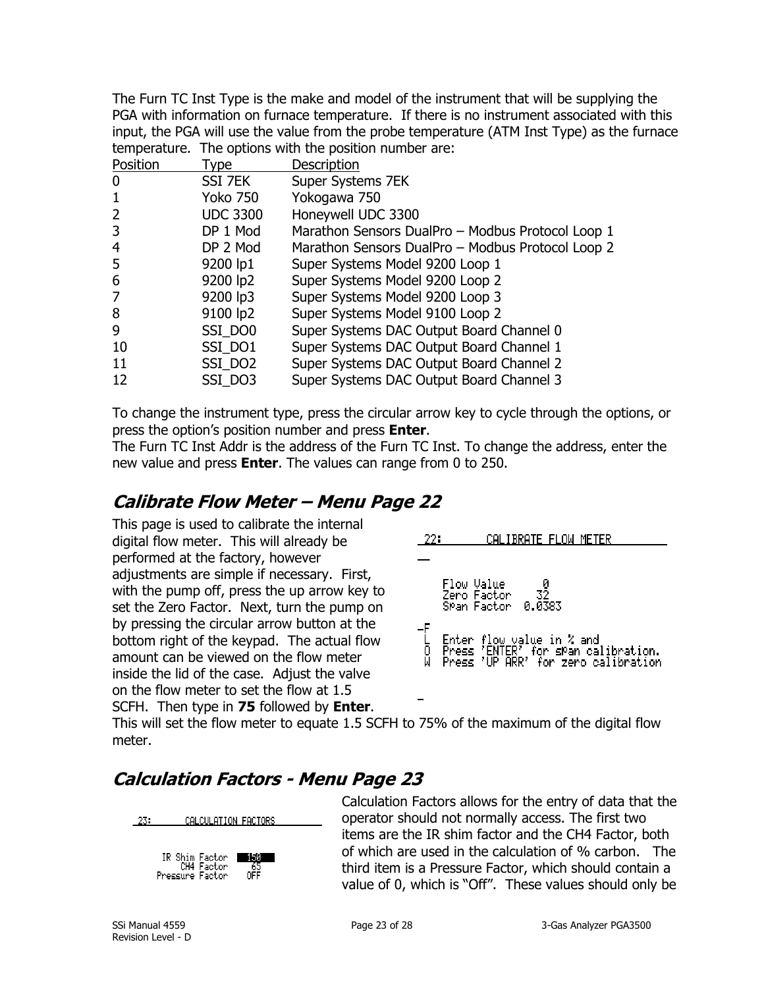The Furn TC Inst Type is the make and model of the instrument that will be supplying the PGA with information on furnace temperature. If there is no instrument associated with this input, the PGA will use the value from the probe temperature (ATM Inst Type) as the furnace temperature. The options with the position number are:

| Position | Type            | Description                                       |
|----------|-----------------|---------------------------------------------------|
| $\bf{0}$ | SSI 7EK         | Super Systems 7EK                                 |
| -1       | <b>Yoko 750</b> | Yokogawa 750                                      |
| 2        | <b>UDC 3300</b> | Honeywell UDC 3300                                |
| 3        | DP 1 Mod        | Marathon Sensors DualPro - Modbus Protocol Loop 1 |
| 4        | DP 2 Mod        | Marathon Sensors DualPro - Modbus Protocol Loop 2 |
| 5        | 9200 lp1        | Super Systems Model 9200 Loop 1                   |
| 6        | 9200 lp2        | Super Systems Model 9200 Loop 2                   |
| 7        | 9200 lp3        | Super Systems Model 9200 Loop 3                   |
| 8        | 9100 lp2        | Super Systems Model 9100 Loop 2                   |
| 9        | SSI DO0         | Super Systems DAC Output Board Channel 0          |
| 10       | SSI DO1         | Super Systems DAC Output Board Channel 1          |
| 11       | SSI DO2         | Super Systems DAC Output Board Channel 2          |
| 12       | SSI_DO3         | Super Systems DAC Output Board Channel 3          |
|          |                 |                                                   |

To change the instrument type, press the circular arrow key to cycle through the options, or press the option's position number and press **Enter**.

The Furn TC Inst Addr is the address of the Furn TC Inst. To change the address, enter the new value and press **Enter**. The values can range from 0 to 250.

## <span id="page-22-0"></span>**Calibrate Flow Meter – Menu Page 22**

This page is used to calibrate the internal digital flow meter. This will already be performed at the factory, however adjustments are simple if necessary. First, with the pump off, press the up arrow key to set the Zero Factor. Next, turn the pump on by pressing the circular arrow button at the bottom right of the keypad. The actual flow amount can be viewed on the flow meter inside the lid of the case. Adjust the valve on the flow meter to set the flow at 1.5 SCFH. Then type in **75** followed by **Enter**.



This will set the flow meter to equate 1.5 SCFH to 75% of the maximum of the digital flow meter.

## <span id="page-22-1"></span>**Calculation Factors - Menu Page 23**





Calculation Factors allows for the entry of data that the operator should not normally access. The first two items are the IR shim factor and the CH4 Factor, both of which are used in the calculation of % carbon. The third item is a Pressure Factor, which should contain a value of 0, which is "Off". These values should only be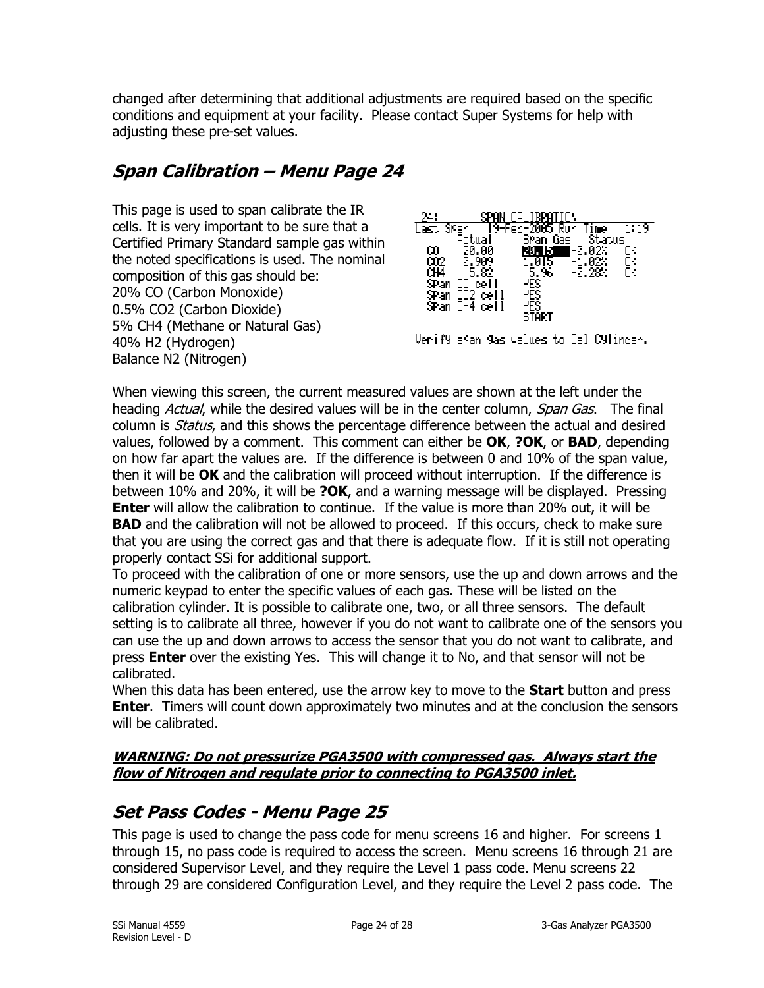changed after determining that additional adjustments are required based on the specific conditions and equipment at your facility. Please contact Super Systems for help with adjusting these pre-set values.

## <span id="page-23-0"></span>**Span Calibration – Menu Page 24**

This page is used to span calibrate the IR cells. It is very important to be sure that a Certified Primary Standard sample gas within the noted specifications is used. The nominal composition of this gas should be: 20% CO (Carbon Monoxide) 0.5% CO2 (Carbon Dioxide) 5% CH4 (Methane or Natural Gas) 40% H2 (Hydrogen) Balance N2 (Nitrogen)



Verify span gas values to Cal Cylinder.

When viewing this screen, the current measured values are shown at the left under the heading *Actual*, while the desired values will be in the center column, *Span Gas*. The final column is *Status*, and this shows the percentage difference between the actual and desired values, followed by a comment. This comment can either be **OK**, **?OK**, or **BAD**, depending on how far apart the values are. If the difference is between 0 and 10% of the span value, then it will be **OK** and the calibration will proceed without interruption. If the difference is between 10% and 20%, it will be **?OK**, and a warning message will be displayed. Pressing **Enter** will allow the calibration to continue. If the value is more than 20% out, it will be **BAD** and the calibration will not be allowed to proceed. If this occurs, check to make sure that you are using the correct gas and that there is adequate flow. If it is still not operating properly contact SSi for additional support.

To proceed with the calibration of one or more sensors, use the up and down arrows and the numeric keypad to enter the specific values of each gas. These will be listed on the calibration cylinder. It is possible to calibrate one, two, or all three sensors. The default setting is to calibrate all three, however if you do not want to calibrate one of the sensors you can use the up and down arrows to access the sensor that you do not want to calibrate, and press **Enter** over the existing Yes. This will change it to No, and that sensor will not be calibrated.

When this data has been entered, use the arrow key to move to the **Start** button and press **Enter**. Timers will count down approximately two minutes and at the conclusion the sensors will be calibrated.

## **WARNING: Do not pressurize PGA3500 with compressed gas. Always start the flow of Nitrogen and regulate prior to connecting to PGA3500 inlet.**

## <span id="page-23-1"></span>**Set Pass Codes - Menu Page 25**

This page is used to change the pass code for menu screens 16 and higher. For screens 1 through 15, no pass code is required to access the screen. Menu screens 16 through 21 are considered Supervisor Level, and they require the Level 1 pass code. Menu screens 22 through 29 are considered Configuration Level, and they require the Level 2 pass code. The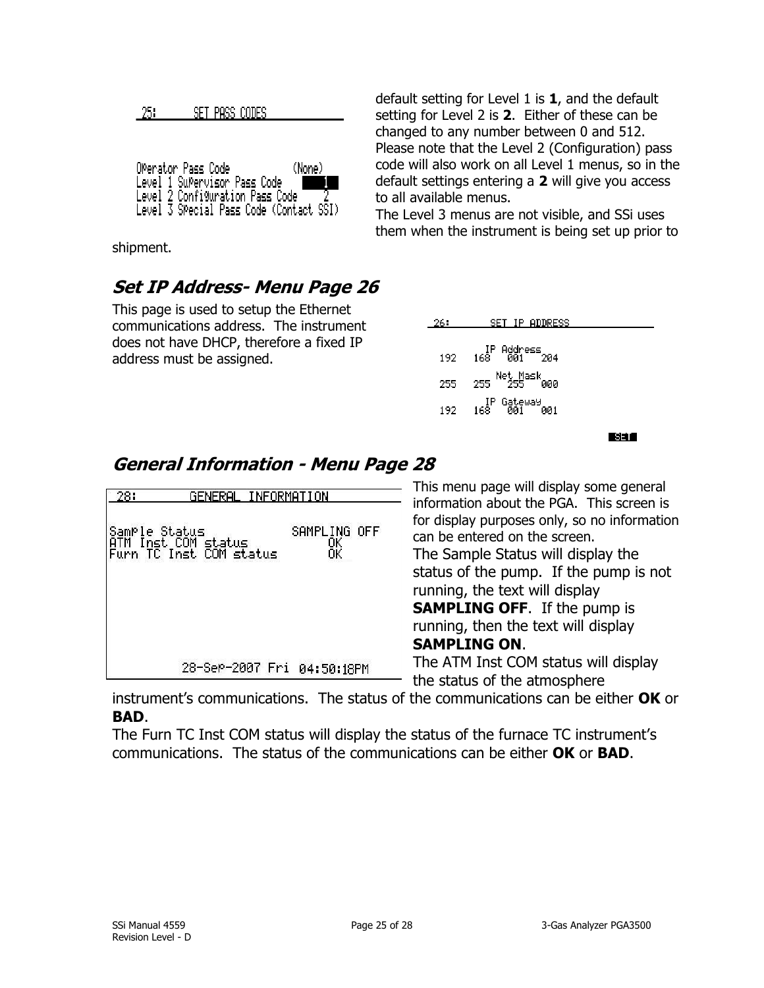|  |  |  | SET PASS CODES |  |
|--|--|--|----------------|--|
|--|--|--|----------------|--|

| OPerator Pass Code                      | (None). |
|-----------------------------------------|---------|
| Level 1 SuPervisor Pass Code            |         |
| Level 2 Configuration Pass Code         |         |
| Level 3 SPecial Pass Code (Contact SSI) |         |

shipment.

## <span id="page-24-0"></span>**Set IP Address- Menu Page 26**

This page is used to setup the Ethernet communications address. The instrument does not have DHCP, therefore a fixed IP address must be assigned.

| default setting for Level 1 is $1$ , and the default |
|------------------------------------------------------|
| setting for Level 2 is 2. Either of these can be     |
| changed to any number between 0 and 512.             |
| Please note that the Level 2 (Configuration) pass    |
| code will also work on all Level 1 menus, so in the  |
| default settings entering a 2 will give you access   |
| to all available menus.                              |
|                                                      |

The Level 3 menus are not visible, and SSi uses them when the instrument is being set up prior to

| 26 : | SET IP ADDRESS                        |
|------|---------------------------------------|
| 192. | IP Address<br>168 ดีดี1<br>-204       |
| 255  | Net Mask<br>$255 - 255$<br>ййй        |
| 192. | lP Gateway<br>168   001<br><b>001</b> |
|      |                                       |

取消し

## <span id="page-24-1"></span>**General Information - Menu Page 28**

| 28:<br>GENERAL INFORMATION |                                                                   |                    |  |
|----------------------------|-------------------------------------------------------------------|--------------------|--|
|                            | Sample Status<br> ATM Inst COM status<br> Furn TC Inst COM status | SAMPLING OFF<br>ŌΚ |  |
|                            |                                                                   |                    |  |
|                            | 28-SeP-2007 Fri                                                   | 04:50:18PM         |  |

This menu page will display some general information about the PGA. This screen is for display purposes only, so no information can be entered on the screen. The Sample Status will display the status of the pump. If the pump is not running, the text will display **SAMPLING OFF**. If the pump is running, then the text will display **SAMPLING ON**. The ATM Inst COM status will display the status of the atmosphere

instrument's communications. The status of the communications can be either **OK** or **BAD**.

The Furn TC Inst COM status will display the status of the furnace TC instrument's communications. The status of the communications can be either **OK** or **BAD**.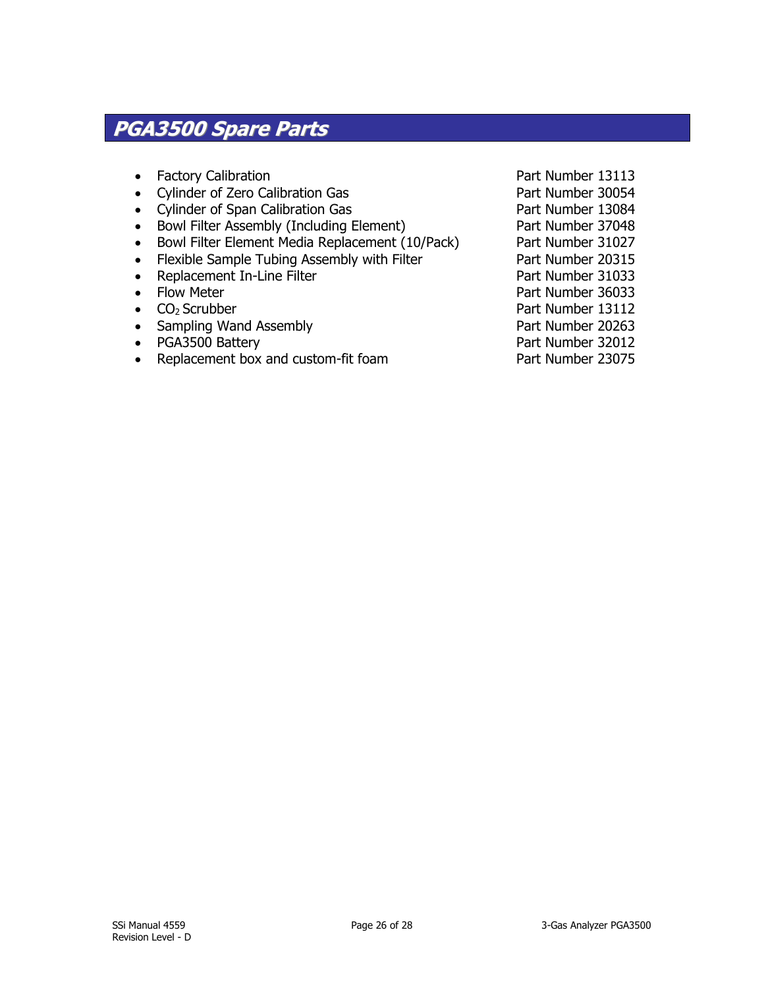## <span id="page-25-0"></span>**PGA3500 Spare Parts**

- Factory Calibration **Part Number 13113**
- Cylinder of Zero Calibration Gas Part Number 30054
- Cylinder of Span Calibration Gas Part Number 13084
- Bowl Filter Assembly (Including Element) Part Number 37048
- Bowl Filter Element Media Replacement (10/Pack) Part Number 31027
- Flexible Sample Tubing Assembly with Filter Part Number 20315
- Replacement In-Line Filter Part Number 31033
- Flow Meter Part Number 36033
- CO<sub>2</sub> Scrubber **Part Number 13112**
- Sampling Wand Assembly **Part Number 20263**
- PGA3500 Battery **PGA3500 Battery**
- Replacement box and custom-fit foam Part Number 23075

- 
- 
- 
- 
- 
- 
- 
- 
- 
-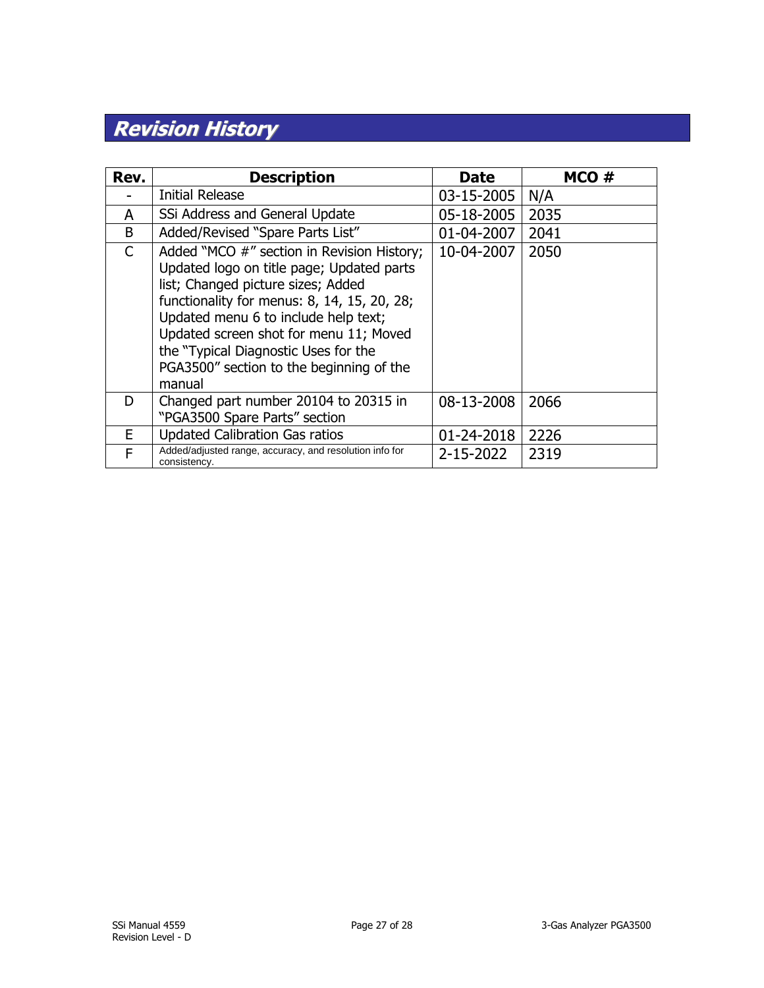## <span id="page-26-0"></span>**Revision History**

| Rev. | <b>Description</b>                                                                                                                                                                                                                                                                                                                                           | <b>Date</b> | MCO # |
|------|--------------------------------------------------------------------------------------------------------------------------------------------------------------------------------------------------------------------------------------------------------------------------------------------------------------------------------------------------------------|-------------|-------|
|      | <b>Initial Release</b>                                                                                                                                                                                                                                                                                                                                       | 03-15-2005  | N/A   |
| A    | SSi Address and General Update                                                                                                                                                                                                                                                                                                                               | 05-18-2005  | 2035  |
| B    | Added/Revised "Spare Parts List"                                                                                                                                                                                                                                                                                                                             | 01-04-2007  | 2041  |
| C    | Added "MCO #" section in Revision History;<br>Updated logo on title page; Updated parts<br>list; Changed picture sizes; Added<br>functionality for menus: 8, 14, 15, 20, 28;<br>Updated menu 6 to include help text;<br>Updated screen shot for menu 11; Moved<br>the "Typical Diagnostic Uses for the<br>PGA3500" section to the beginning of the<br>manual | 10-04-2007  | 2050  |
| D.   | Changed part number 20104 to 20315 in<br>"PGA3500 Spare Parts" section                                                                                                                                                                                                                                                                                       | 08-13-2008  | 2066  |
| E    | <b>Updated Calibration Gas ratios</b>                                                                                                                                                                                                                                                                                                                        | 01-24-2018  | 2226  |
| F    | Added/adjusted range, accuracy, and resolution info for<br>consistency.                                                                                                                                                                                                                                                                                      | 2-15-2022   | 2319  |